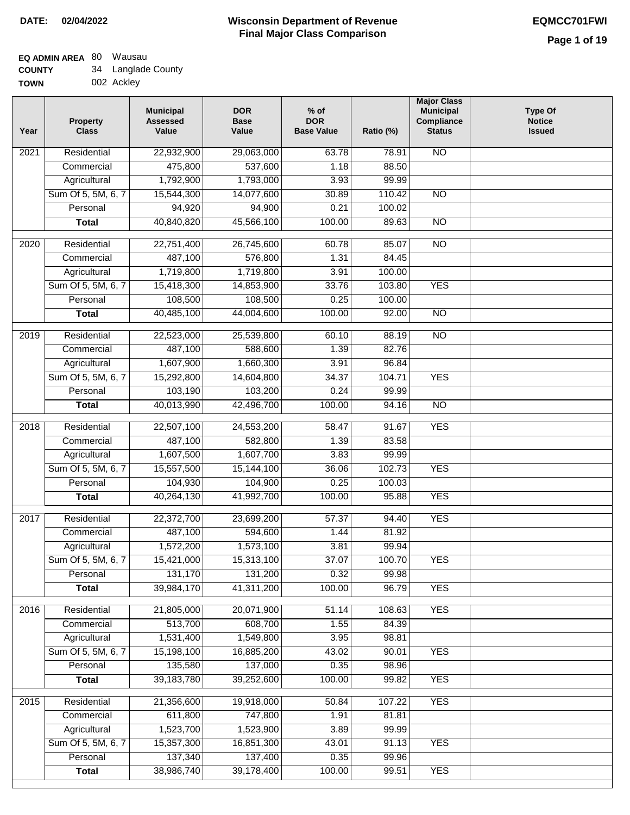# **Wisconsin Department of Revenue Final Major Class Comparison DATE: 02/04/2022 EQMCC701FWI**

| <b>TOWN</b> | 002 Ackley |
|-------------|------------|

| Year              | <b>Property</b><br><b>Class</b> | <b>Municipal</b><br><b>Assessed</b><br>Value | <b>DOR</b><br><b>Base</b><br>Value | $%$ of<br><b>DOR</b><br><b>Base Value</b> | Ratio (%) | <b>Major Class</b><br><b>Municipal</b><br>Compliance<br><b>Status</b> | <b>Type Of</b><br><b>Notice</b><br><b>Issued</b> |
|-------------------|---------------------------------|----------------------------------------------|------------------------------------|-------------------------------------------|-----------|-----------------------------------------------------------------------|--------------------------------------------------|
| 2021              | Residential                     | 22,932,900                                   | 29,063,000                         | 63.78                                     | 78.91     | N <sub>O</sub>                                                        |                                                  |
|                   | Commercial                      | 475,800                                      | 537,600                            | 1.18                                      | 88.50     |                                                                       |                                                  |
|                   | Agricultural                    | 1,792,900                                    | 1,793,000                          | 3.93                                      | 99.99     |                                                                       |                                                  |
|                   | Sum Of 5, 5M, 6, 7              | 15,544,300                                   | 14,077,600                         | 30.89                                     | 110.42    | N <sub>O</sub>                                                        |                                                  |
|                   | Personal                        | 94,920                                       | 94,900                             | 0.21                                      | 100.02    |                                                                       |                                                  |
|                   | <b>Total</b>                    | 40,840,820                                   | 45,566,100                         | 100.00                                    | 89.63     | N <sub>O</sub>                                                        |                                                  |
| 2020              | Residential                     | 22,751,400                                   | 26,745,600                         | 60.78                                     | 85.07     | $\overline{NO}$                                                       |                                                  |
|                   | Commercial                      | 487,100                                      | 576,800                            | 1.31                                      | 84.45     |                                                                       |                                                  |
|                   | Agricultural                    | 1,719,800                                    | 1,719,800                          | 3.91                                      | 100.00    |                                                                       |                                                  |
|                   | Sum Of 5, 5M, 6, 7              | 15,418,300                                   | 14,853,900                         | 33.76                                     | 103.80    | <b>YES</b>                                                            |                                                  |
|                   | Personal                        | 108,500                                      | 108,500                            | 0.25                                      | 100.00    |                                                                       |                                                  |
|                   | <b>Total</b>                    | 40,485,100                                   | 44,004,600                         | 100.00                                    | 92.00     | $\overline{NO}$                                                       |                                                  |
|                   |                                 |                                              |                                    |                                           |           |                                                                       |                                                  |
| 2019              | Residential                     | 22,523,000                                   | 25,539,800                         | 60.10                                     | 88.19     | <b>NO</b>                                                             |                                                  |
|                   | Commercial                      | 487,100                                      | 588,600                            | 1.39                                      | 82.76     |                                                                       |                                                  |
|                   | Agricultural                    | 1,607,900                                    | 1,660,300                          | 3.91                                      | 96.84     |                                                                       |                                                  |
|                   | Sum Of 5, 5M, 6, 7              | 15,292,800                                   | 14,604,800                         | 34.37                                     | 104.71    | <b>YES</b>                                                            |                                                  |
|                   | Personal                        | 103,190                                      | 103,200                            | 0.24                                      | 99.99     |                                                                       |                                                  |
|                   | <b>Total</b>                    | 40,013,990                                   | 42,496,700                         | 100.00                                    | 94.16     | $\overline{NO}$                                                       |                                                  |
| $\overline{2018}$ | Residential                     | 22,507,100                                   | 24,553,200                         | 58.47                                     | 91.67     | <b>YES</b>                                                            |                                                  |
|                   | Commercial                      | 487,100                                      | 582,800                            | 1.39                                      | 83.58     |                                                                       |                                                  |
|                   | Agricultural                    | 1,607,500                                    | 1,607,700                          | 3.83                                      | 99.99     |                                                                       |                                                  |
|                   | Sum Of 5, 5M, 6, 7              | 15,557,500                                   | 15,144,100                         | 36.06                                     | 102.73    | <b>YES</b>                                                            |                                                  |
|                   | Personal                        | 104,930                                      | 104,900                            | 0.25                                      | 100.03    |                                                                       |                                                  |
|                   | <b>Total</b>                    | 40,264,130                                   | 41,992,700                         | 100.00                                    | 95.88     | <b>YES</b>                                                            |                                                  |
| 2017              | Residential                     | 22,372,700                                   | 23,699,200                         | 57.37                                     | 94.40     | <b>YES</b>                                                            |                                                  |
|                   | Commercial                      | 487,100                                      | 594,600                            | 1.44                                      | 81.92     |                                                                       |                                                  |
|                   | Agricultural                    | 1,572,200                                    | 1,573,100                          | 3.81                                      | 99.94     |                                                                       |                                                  |
|                   | Sum Of 5, 5M, 6, 7              | 15,421,000                                   | 15,313,100                         | 37.07                                     | 100.70    | <b>YES</b>                                                            |                                                  |
|                   | Personal                        | 131,170                                      | 131,200                            | 0.32                                      | 99.98     |                                                                       |                                                  |
|                   | <b>Total</b>                    | 39,984,170                                   | 41,311,200                         | 100.00                                    | 96.79     | <b>YES</b>                                                            |                                                  |
| 2016              | Residential                     | 21,805,000                                   | 20,071,900                         | 51.14                                     | 108.63    | <b>YES</b>                                                            |                                                  |
|                   | Commercial                      | 513,700                                      | 608,700                            | 1.55                                      | 84.39     |                                                                       |                                                  |
|                   | Agricultural                    | 1,531,400                                    | 1,549,800                          | 3.95                                      | 98.81     |                                                                       |                                                  |
|                   | Sum Of 5, 5M, 6, 7              | 15,198,100                                   | 16,885,200                         | 43.02                                     | 90.01     | <b>YES</b>                                                            |                                                  |
|                   | Personal                        | 135,580                                      | 137,000                            | 0.35                                      | 98.96     |                                                                       |                                                  |
|                   | <b>Total</b>                    | 39, 183, 780                                 | 39,252,600                         | 100.00                                    | 99.82     | <b>YES</b>                                                            |                                                  |
| 2015              | Residential                     | 21,356,600                                   | 19,918,000                         | 50.84                                     | 107.22    | <b>YES</b>                                                            |                                                  |
|                   | Commercial                      | 611,800                                      | 747,800                            | 1.91                                      | 81.81     |                                                                       |                                                  |
|                   | Agricultural                    | 1,523,700                                    | 1,523,900                          | 3.89                                      | 99.99     |                                                                       |                                                  |
|                   | Sum Of 5, 5M, 6, 7              | 15,357,300                                   | 16,851,300                         | 43.01                                     | 91.13     | <b>YES</b>                                                            |                                                  |
|                   | Personal                        | 137,340                                      | 137,400                            | 0.35                                      | 99.96     |                                                                       |                                                  |
|                   | <b>Total</b>                    | 38,986,740                                   | 39,178,400                         | 100.00                                    | 99.51     | <b>YES</b>                                                            |                                                  |
|                   |                                 |                                              |                                    |                                           |           |                                                                       |                                                  |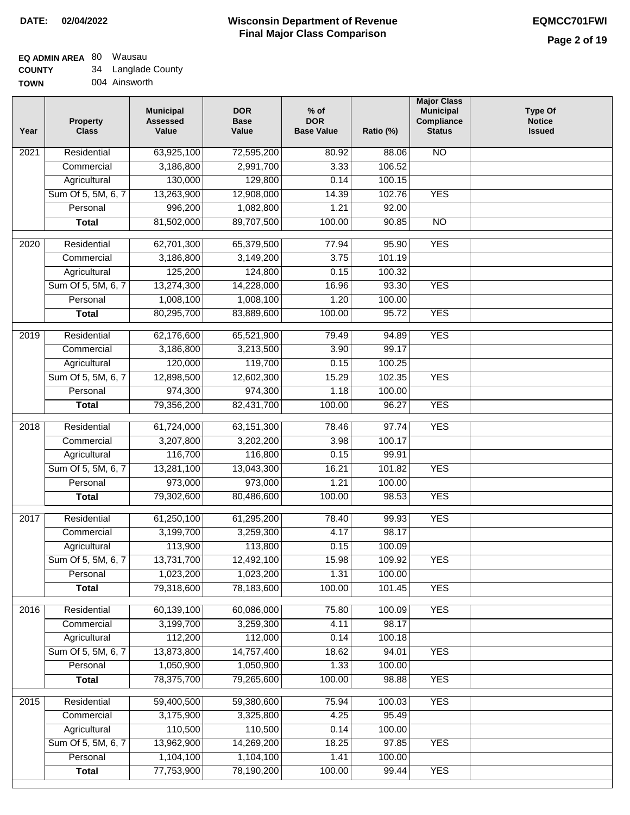# **Wisconsin Department of Revenue Final Major Class Comparison DATE: 02/04/2022 EQMCC701FWI**

# **EQ ADMIN AREA** 80 Wausau

**COUNTY TOWN** 34 Langlade County

|  | 004 Ainsworth |
|--|---------------|
|  |               |

| Year              | <b>Property</b><br><b>Class</b> | <b>Municipal</b><br><b>Assessed</b><br>Value | <b>DOR</b><br><b>Base</b><br>Value | $%$ of<br><b>DOR</b><br><b>Base Value</b> | Ratio (%) | <b>Major Class</b><br><b>Municipal</b><br>Compliance<br><b>Status</b> | <b>Type Of</b><br><b>Notice</b><br><b>Issued</b> |
|-------------------|---------------------------------|----------------------------------------------|------------------------------------|-------------------------------------------|-----------|-----------------------------------------------------------------------|--------------------------------------------------|
| 2021              | Residential                     | 63,925,100                                   | 72,595,200                         | 80.92                                     | 88.06     | <b>NO</b>                                                             |                                                  |
|                   | Commercial                      | 3,186,800                                    | 2,991,700                          | 3.33                                      | 106.52    |                                                                       |                                                  |
|                   | Agricultural                    | 130,000                                      | 129,800                            | 0.14                                      | 100.15    |                                                                       |                                                  |
|                   | Sum Of 5, 5M, 6, 7              | 13,263,900                                   | 12,908,000                         | 14.39                                     | 102.76    | <b>YES</b>                                                            |                                                  |
|                   | Personal                        | 996,200                                      | 1,082,800                          | 1.21                                      | 92.00     |                                                                       |                                                  |
|                   | <b>Total</b>                    | 81,502,000                                   | 89,707,500                         | 100.00                                    | 90.85     | $\overline{NO}$                                                       |                                                  |
| 2020              | Residential                     | 62,701,300                                   | 65,379,500                         | 77.94                                     | 95.90     | <b>YES</b>                                                            |                                                  |
|                   | Commercial                      | 3,186,800                                    | 3,149,200                          | 3.75                                      | 101.19    |                                                                       |                                                  |
|                   | Agricultural                    | 125,200                                      | 124,800                            | 0.15                                      | 100.32    |                                                                       |                                                  |
|                   | Sum Of 5, 5M, 6, 7              | 13,274,300                                   | 14,228,000                         | 16.96                                     | 93.30     | <b>YES</b>                                                            |                                                  |
|                   | Personal                        | 1,008,100                                    | 1,008,100                          | 1.20                                      | 100.00    |                                                                       |                                                  |
|                   | <b>Total</b>                    | 80,295,700                                   | 83,889,600                         | 100.00                                    | 95.72     | <b>YES</b>                                                            |                                                  |
|                   |                                 |                                              |                                    |                                           |           |                                                                       |                                                  |
| 2019              | Residential                     | 62,176,600                                   | 65,521,900                         | 79.49                                     | 94.89     | <b>YES</b>                                                            |                                                  |
|                   | Commercial                      | 3,186,800                                    | 3,213,500                          | 3.90                                      | 99.17     |                                                                       |                                                  |
|                   | Agricultural                    | 120,000                                      | 119,700                            | 0.15                                      | 100.25    |                                                                       |                                                  |
|                   | Sum Of 5, 5M, 6, 7              | 12,898,500                                   | 12,602,300                         | 15.29                                     | 102.35    | <b>YES</b>                                                            |                                                  |
|                   | Personal                        | 974,300                                      | 974,300                            | 1.18                                      | 100.00    |                                                                       |                                                  |
|                   | <b>Total</b>                    | 79,356,200                                   | 82,431,700                         | 100.00                                    | 96.27     | <b>YES</b>                                                            |                                                  |
| $\overline{2018}$ | Residential                     | 61,724,000                                   | 63, 151, 300                       | 78.46                                     | 97.74     | <b>YES</b>                                                            |                                                  |
|                   | Commercial                      | 3,207,800                                    | 3,202,200                          | 3.98                                      | 100.17    |                                                                       |                                                  |
|                   | Agricultural                    | 116,700                                      | 116,800                            | 0.15                                      | 99.91     |                                                                       |                                                  |
|                   | Sum Of 5, 5M, 6, 7              | 13,281,100                                   | 13,043,300                         | 16.21                                     | 101.82    | <b>YES</b>                                                            |                                                  |
|                   | Personal                        | 973,000                                      | 973,000                            | 1.21                                      | 100.00    |                                                                       |                                                  |
|                   | <b>Total</b>                    | 79,302,600                                   | 80,486,600                         | 100.00                                    | 98.53     | <b>YES</b>                                                            |                                                  |
| 2017              | Residential                     | 61,250,100                                   | 61,295,200                         | 78.40                                     | 99.93     | <b>YES</b>                                                            |                                                  |
|                   | Commercial                      | 3,199,700                                    | 3,259,300                          | 4.17                                      | 98.17     |                                                                       |                                                  |
|                   | Agricultural                    | 113,900                                      | 113,800                            | 0.15                                      | 100.09    |                                                                       |                                                  |
|                   | Sum Of 5, 5M, 6, 7              | 13,731,700                                   | 12,492,100                         | 15.98                                     | 109.92    | <b>YES</b>                                                            |                                                  |
|                   | Personal                        | 1,023,200                                    | 1,023,200                          | 1.31                                      | 100.00    |                                                                       |                                                  |
|                   | <b>Total</b>                    | 79,318,600                                   | 78,183,600                         | 100.00                                    | 101.45    | <b>YES</b>                                                            |                                                  |
|                   |                                 |                                              |                                    |                                           |           |                                                                       |                                                  |
| 2016              | Residential                     | 60,139,100                                   | 60,086,000                         | 75.80                                     | 100.09    | <b>YES</b>                                                            |                                                  |
|                   | Commercial                      | 3,199,700                                    | 3,259,300                          | 4.11                                      | 98.17     |                                                                       |                                                  |
|                   | Agricultural                    | 112,200                                      | 112,000                            | 0.14                                      | 100.18    |                                                                       |                                                  |
|                   | Sum Of 5, 5M, 6, 7              | 13,873,800                                   | 14,757,400                         | 18.62                                     | 94.01     | <b>YES</b>                                                            |                                                  |
|                   | Personal                        | 1,050,900                                    | 1,050,900                          | 1.33                                      | 100.00    |                                                                       |                                                  |
|                   | <b>Total</b>                    | 78,375,700                                   | 79,265,600                         | 100.00                                    | 98.88     | <b>YES</b>                                                            |                                                  |
| 2015              | Residential                     | 59,400,500                                   | 59,380,600                         | 75.94                                     | 100.03    | <b>YES</b>                                                            |                                                  |
|                   | Commercial                      | 3,175,900                                    | 3,325,800                          | 4.25                                      | 95.49     |                                                                       |                                                  |
|                   | Agricultural                    | 110,500                                      | 110,500                            | 0.14                                      | 100.00    |                                                                       |                                                  |
|                   | Sum Of 5, 5M, 6, 7              | 13,962,900                                   | 14,269,200                         | 18.25                                     | 97.85     | <b>YES</b>                                                            |                                                  |
|                   | Personal                        | 1,104,100                                    | 1,104,100                          | 1.41                                      | 100.00    |                                                                       |                                                  |
|                   | <b>Total</b>                    | 77,753,900                                   | 78,190,200                         | 100.00                                    | 99.44     | <b>YES</b>                                                            |                                                  |
|                   |                                 |                                              |                                    |                                           |           |                                                                       |                                                  |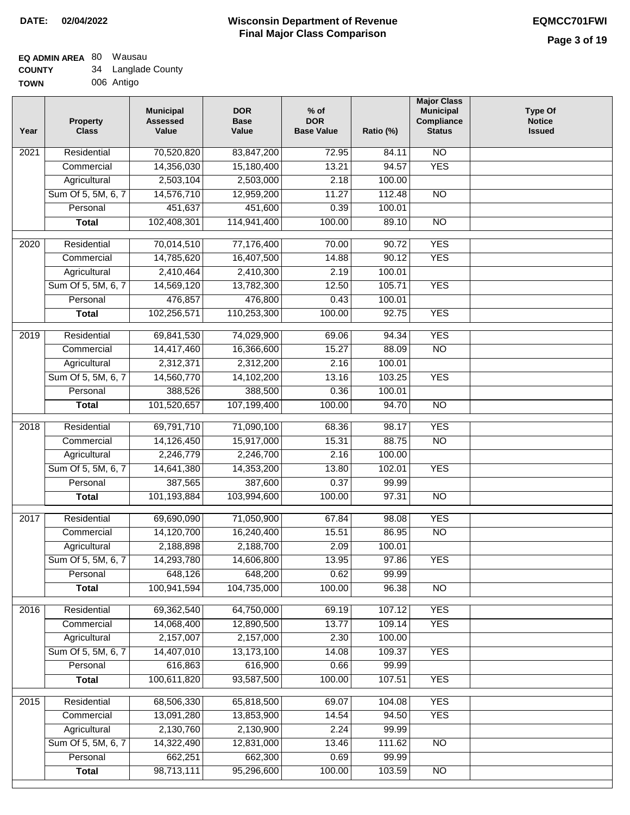| <b>TOWN</b> | 006 Antigo |
|-------------|------------|

| Year              | <b>Property</b><br><b>Class</b> | <b>Municipal</b><br><b>Assessed</b><br>Value | <b>DOR</b><br><b>Base</b><br>Value | % of<br><b>DOR</b><br><b>Base Value</b> | Ratio (%) | <b>Major Class</b><br><b>Municipal</b><br>Compliance<br><b>Status</b> | <b>Type Of</b><br><b>Notice</b><br><b>Issued</b> |
|-------------------|---------------------------------|----------------------------------------------|------------------------------------|-----------------------------------------|-----------|-----------------------------------------------------------------------|--------------------------------------------------|
| $\overline{202}1$ | Residential                     | 70,520,820                                   | 83,847,200                         | 72.95                                   | 84.11     | N <sub>O</sub>                                                        |                                                  |
|                   | Commercial                      | 14,356,030                                   | 15,180,400                         | 13.21                                   | 94.57     | <b>YES</b>                                                            |                                                  |
|                   | Agricultural                    | 2,503,104                                    | 2,503,000                          | 2.18                                    | 100.00    |                                                                       |                                                  |
|                   | Sum Of 5, 5M, 6, 7              | 14,576,710                                   | 12,959,200                         | 11.27                                   | 112.48    | $\overline{NO}$                                                       |                                                  |
|                   | Personal                        | 451,637                                      | 451,600                            | 0.39                                    | 100.01    |                                                                       |                                                  |
|                   | <b>Total</b>                    | 102,408,301                                  | 114,941,400                        | 100.00                                  | 89.10     | $\overline{NO}$                                                       |                                                  |
| $\overline{2020}$ | Residential                     | 70,014,510                                   | 77,176,400                         | 70.00                                   | 90.72     | <b>YES</b>                                                            |                                                  |
|                   | Commercial                      | 14,785,620                                   | 16,407,500                         | 14.88                                   | 90.12     | <b>YES</b>                                                            |                                                  |
|                   | Agricultural                    | 2,410,464                                    | 2,410,300                          | 2.19                                    | 100.01    |                                                                       |                                                  |
|                   | Sum Of 5, 5M, 6, 7              | 14,569,120                                   | 13,782,300                         | 12.50                                   | 105.71    | <b>YES</b>                                                            |                                                  |
|                   | Personal                        | 476,857                                      | 476,800                            | 0.43                                    | 100.01    |                                                                       |                                                  |
|                   | <b>Total</b>                    | 102,256,571                                  | 110,253,300                        | 100.00                                  | 92.75     | <b>YES</b>                                                            |                                                  |
| $\frac{2019}{ }$  | Residential                     | 69,841,530                                   | 74,029,900                         | 69.06                                   | 94.34     | <b>YES</b>                                                            |                                                  |
|                   | Commercial                      | 14,417,460                                   | 16,366,600                         | 15.27                                   | 88.09     | $\overline{NO}$                                                       |                                                  |
|                   | Agricultural                    | 2,312,371                                    | 2,312,200                          | 2.16                                    | 100.01    |                                                                       |                                                  |
|                   | Sum Of 5, 5M, 6, 7              | 14,560,770                                   | 14,102,200                         | 13.16                                   | 103.25    | <b>YES</b>                                                            |                                                  |
|                   | Personal                        | 388,526                                      | 388,500                            | 0.36                                    | 100.01    |                                                                       |                                                  |
|                   | <b>Total</b>                    | 101,520,657                                  | 107,199,400                        | 100.00                                  | 94.70     | $\overline{NO}$                                                       |                                                  |
|                   |                                 |                                              |                                    |                                         |           |                                                                       |                                                  |
| 2018              | Residential                     | 69,791,710                                   | 71,090,100                         | 68.36                                   | 98.17     | <b>YES</b>                                                            |                                                  |
|                   | Commercial                      | 14,126,450                                   | 15,917,000                         | 15.31                                   | 88.75     | <b>NO</b>                                                             |                                                  |
|                   | Agricultural                    | 2,246,779                                    | 2,246,700                          | 2.16                                    | 100.00    |                                                                       |                                                  |
|                   | Sum Of 5, 5M, 6, 7              | 14,641,380                                   | 14,353,200                         | 13.80                                   | 102.01    | <b>YES</b>                                                            |                                                  |
|                   | Personal                        | 387,565                                      | 387,600                            | 0.37                                    | 99.99     |                                                                       |                                                  |
|                   | <b>Total</b>                    | 101,193,884                                  | 103,994,600                        | 100.00                                  | 97.31     | <b>NO</b>                                                             |                                                  |
| 2017              | Residential                     | 69,690,090                                   | 71,050,900                         | 67.84                                   | 98.08     | <b>YES</b>                                                            |                                                  |
|                   | Commercial                      | 14,120,700                                   | 16,240,400                         | 15.51                                   | 86.95     | $\overline{N}$                                                        |                                                  |
|                   | Agricultural                    | 2,188,898                                    | 2,188,700                          | 2.09                                    | 100.01    |                                                                       |                                                  |
|                   | Sum Of 5, 5M, 6, 7              | 14,293,780                                   | 14,606,800                         | 13.95                                   | 97.86     | <b>YES</b>                                                            |                                                  |
|                   | Personal                        | 648,126                                      | 648,200                            | 0.62                                    | 99.99     |                                                                       |                                                  |
|                   | <b>Total</b>                    | 100,941,594                                  | 104,735,000                        | 100.00                                  | 96.38     | <b>NO</b>                                                             |                                                  |
| 2016              | Residential                     | 69,362,540                                   | 64,750,000                         | 69.19                                   | 107.12    | <b>YES</b>                                                            |                                                  |
|                   | Commercial                      | 14,068,400                                   | 12,890,500                         | 13.77                                   | 109.14    | <b>YES</b>                                                            |                                                  |
|                   | Agricultural                    | 2,157,007                                    | 2,157,000                          | 2.30                                    | 100.00    |                                                                       |                                                  |
|                   | Sum Of 5, 5M, 6, 7              | 14,407,010                                   | 13,173,100                         | 14.08                                   | 109.37    | <b>YES</b>                                                            |                                                  |
|                   | Personal                        | 616,863                                      | 616,900                            | 0.66                                    | 99.99     |                                                                       |                                                  |
|                   | <b>Total</b>                    | 100,611,820                                  | 93,587,500                         | 100.00                                  | 107.51    | <b>YES</b>                                                            |                                                  |
| 2015              | Residential                     | 68,506,330                                   | 65,818,500                         | 69.07                                   | 104.08    | <b>YES</b>                                                            |                                                  |
|                   | Commercial                      | 13,091,280                                   | 13,853,900                         | 14.54                                   | 94.50     | <b>YES</b>                                                            |                                                  |
|                   | Agricultural                    | 2,130,760                                    | 2,130,900                          | 2.24                                    | 99.99     |                                                                       |                                                  |
|                   | Sum Of 5, 5M, 6, 7              | 14,322,490                                   | 12,831,000                         | 13.46                                   | 111.62    | <b>NO</b>                                                             |                                                  |
|                   | Personal                        | 662,251                                      | 662,300                            | 0.69                                    | 99.99     |                                                                       |                                                  |
|                   | <b>Total</b>                    | 98,713,111                                   | 95,296,600                         | 100.00                                  | 103.59    | NO                                                                    |                                                  |
|                   |                                 |                                              |                                    |                                         |           |                                                                       |                                                  |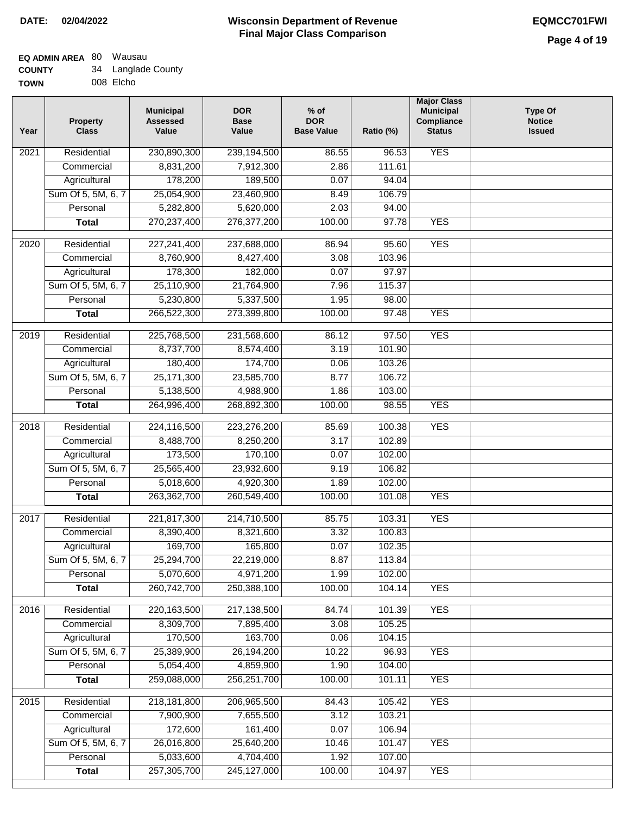| /Ν | 008 Elcho |
|----|-----------|
|    |           |

| Year              | <b>Property</b><br><b>Class</b> | <b>Municipal</b><br><b>Assessed</b><br>Value | <b>DOR</b><br><b>Base</b><br>Value | % of<br><b>DOR</b><br><b>Base Value</b> | Ratio (%)        | <b>Major Class</b><br><b>Municipal</b><br>Compliance<br><b>Status</b> | <b>Type Of</b><br><b>Notice</b><br><b>Issued</b> |
|-------------------|---------------------------------|----------------------------------------------|------------------------------------|-----------------------------------------|------------------|-----------------------------------------------------------------------|--------------------------------------------------|
| $\overline{202}1$ | Residential                     | 230,890,300                                  | 239,194,500                        | 86.55                                   | 96.53            | <b>YES</b>                                                            |                                                  |
|                   | Commercial                      | 8,831,200                                    | 7,912,300                          | 2.86                                    | 111.61           |                                                                       |                                                  |
|                   | Agricultural                    | 178,200                                      | 189,500                            | 0.07                                    | 94.04            |                                                                       |                                                  |
|                   | Sum Of 5, 5M, 6, 7              | 25,054,900                                   | 23,460,900                         | 8.49                                    | 106.79           |                                                                       |                                                  |
|                   | Personal                        | 5,282,800                                    | 5,620,000                          | 2.03                                    | 94.00            |                                                                       |                                                  |
|                   | <b>Total</b>                    | 270,237,400                                  | 276, 377, 200                      | 100.00                                  | 97.78            | <b>YES</b>                                                            |                                                  |
| $\overline{2020}$ | Residential                     | 227,241,400                                  | 237,688,000                        | 86.94                                   | 95.60            | <b>YES</b>                                                            |                                                  |
|                   | Commercial                      | 8,760,900                                    | 8,427,400                          | 3.08                                    | 103.96           |                                                                       |                                                  |
|                   | Agricultural                    | 178,300                                      | 182,000                            | 0.07                                    | 97.97            |                                                                       |                                                  |
|                   | Sum Of 5, 5M, 6, 7              | 25,110,900                                   | 21,764,900                         | 7.96                                    | 115.37           |                                                                       |                                                  |
|                   | Personal                        | 5,230,800                                    | 5,337,500                          | 1.95                                    | 98.00            |                                                                       |                                                  |
|                   | <b>Total</b>                    | 266,522,300                                  | 273,399,800                        | 100.00                                  | 97.48            | <b>YES</b>                                                            |                                                  |
|                   |                                 |                                              |                                    |                                         |                  |                                                                       |                                                  |
| 2019              | Residential                     | 225,768,500                                  | 231,568,600                        | 86.12                                   | 97.50            | <b>YES</b>                                                            |                                                  |
|                   | Commercial                      | 8,737,700                                    | 8,574,400                          | 3.19                                    | 101.90           |                                                                       |                                                  |
|                   | Agricultural                    | 180,400                                      | 174,700                            | 0.06                                    | 103.26           |                                                                       |                                                  |
|                   | Sum Of 5, 5M, 6, 7              | 25, 171, 300                                 | 23,585,700                         | 8.77                                    | 106.72           |                                                                       |                                                  |
|                   | Personal                        | 5,138,500                                    | 4,988,900                          | 1.86                                    | 103.00           |                                                                       |                                                  |
|                   | <b>Total</b>                    | 264,996,400                                  | 268,892,300                        | 100.00                                  | 98.55            | <b>YES</b>                                                            |                                                  |
| 2018              | Residential                     | 224,116,500                                  | 223,276,200                        | 85.69                                   | 100.38           | <b>YES</b>                                                            |                                                  |
|                   | Commercial                      | 8,488,700                                    | 8,250,200                          | 3.17                                    | 102.89           |                                                                       |                                                  |
|                   | Agricultural                    | 173,500                                      | 170,100                            | 0.07                                    | 102.00           |                                                                       |                                                  |
|                   | Sum Of 5, 5M, 6, 7              | 25,565,400                                   | 23,932,600                         | 9.19                                    | 106.82           |                                                                       |                                                  |
|                   | Personal                        | 5,018,600                                    | 4,920,300                          | 1.89                                    | 102.00           |                                                                       |                                                  |
|                   | <b>Total</b>                    | 263,362,700                                  | 260,549,400                        | 100.00                                  | 101.08           | <b>YES</b>                                                            |                                                  |
| 2017              | Residential                     | 221,817,300                                  | 214,710,500                        | 85.75                                   | 103.31           | <b>YES</b>                                                            |                                                  |
|                   | Commercial                      | 8,390,400                                    | 8,321,600                          | 3.32                                    | 100.83           |                                                                       |                                                  |
|                   | Agricultural                    | 169,700                                      | 165,800                            | 0.07                                    | 102.35           |                                                                       |                                                  |
|                   | Sum Of 5, 5M, 6, 7              | 25,294,700                                   | 22,219,000                         | 8.87                                    | 113.84           |                                                                       |                                                  |
|                   | Personal                        | 5,070,600                                    | 4,971,200                          | 1.99                                    | 102.00           |                                                                       |                                                  |
|                   | <b>Total</b>                    | 260,742,700                                  | 250,388,100                        | 100.00                                  | 104.14           | <b>YES</b>                                                            |                                                  |
| 2016              | Residential                     | 220, 163, 500                                | 217,138,500                        | 84.74                                   | 101.39           | <b>YES</b>                                                            |                                                  |
|                   | Commercial                      | 8,309,700                                    | 7,895,400                          | 3.08                                    | 105.25           |                                                                       |                                                  |
|                   | Agricultural                    | 170,500                                      | 163,700                            | 0.06                                    | 104.15           |                                                                       |                                                  |
|                   | Sum Of 5, 5M, 6, 7              | 25,389,900                                   | 26,194,200                         | 10.22                                   | 96.93            | <b>YES</b>                                                            |                                                  |
|                   | Personal                        | 5,054,400                                    | 4,859,900                          | 1.90                                    | 104.00           |                                                                       |                                                  |
|                   | <b>Total</b>                    | 259,088,000                                  | 256,251,700                        | 100.00                                  | 101.11           | <b>YES</b>                                                            |                                                  |
|                   |                                 |                                              |                                    |                                         |                  | <b>YES</b>                                                            |                                                  |
| 2015              | Residential                     | 218,181,800<br>7,900,900                     | 206,965,500<br>7,655,500           | 84.43<br>3.12                           | 105.42<br>103.21 |                                                                       |                                                  |
|                   | Commercial<br>Agricultural      | 172,600                                      | 161,400                            | 0.07                                    | 106.94           |                                                                       |                                                  |
|                   | Sum Of 5, 5M, 6, 7              | 26,016,800                                   | 25,640,200                         | 10.46                                   | 101.47           | <b>YES</b>                                                            |                                                  |
|                   | Personal                        | 5,033,600                                    | 4,704,400                          | 1.92                                    | 107.00           |                                                                       |                                                  |
|                   | <b>Total</b>                    | 257,305,700                                  | 245,127,000                        | 100.00                                  | 104.97           | <b>YES</b>                                                            |                                                  |
|                   |                                 |                                              |                                    |                                         |                  |                                                                       |                                                  |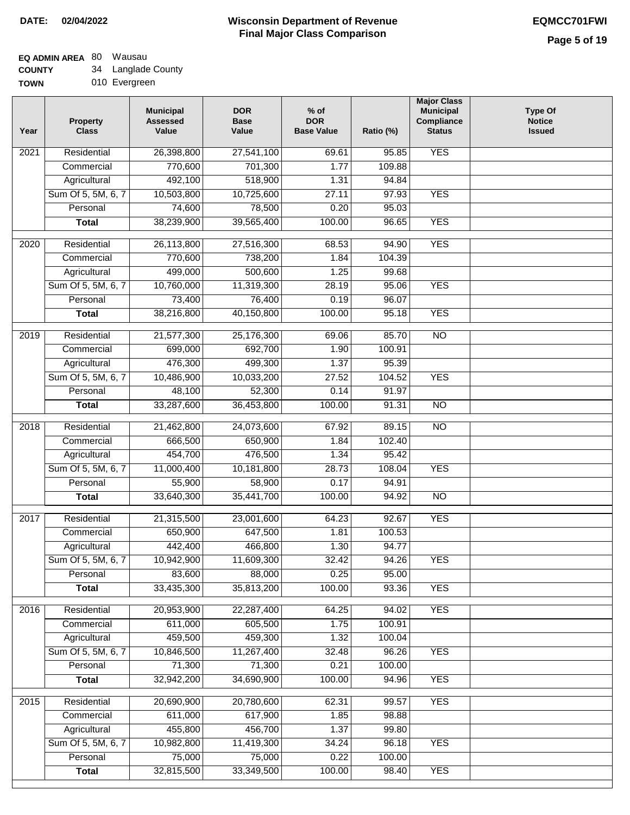# **Wisconsin Department of Revenue Final Major Class Comparison DATE: 02/04/2022 EQMCC701FWI**

# **EQ ADMIN AREA** 80 Wausau

**COUNTY TOWN** 34 Langlade County

| 010 Evergreen |
|---------------|

| Year | <b>Property</b><br><b>Class</b> | <b>Municipal</b><br><b>Assessed</b><br>Value | <b>DOR</b><br><b>Base</b><br>Value | $%$ of<br><b>DOR</b><br><b>Base Value</b> | Ratio (%) | <b>Major Class</b><br><b>Municipal</b><br>Compliance<br><b>Status</b> | <b>Type Of</b><br><b>Notice</b><br><b>Issued</b> |
|------|---------------------------------|----------------------------------------------|------------------------------------|-------------------------------------------|-----------|-----------------------------------------------------------------------|--------------------------------------------------|
| 2021 | Residential                     | 26,398,800                                   | 27,541,100                         | 69.61                                     | 95.85     | <b>YES</b>                                                            |                                                  |
|      | Commercial                      | 770,600                                      | 701,300                            | 1.77                                      | 109.88    |                                                                       |                                                  |
|      | Agricultural                    | 492,100                                      | 518,900                            | 1.31                                      | 94.84     |                                                                       |                                                  |
|      | Sum Of 5, 5M, 6, 7              | 10,503,800                                   | 10,725,600                         | 27.11                                     | 97.93     | <b>YES</b>                                                            |                                                  |
|      | Personal                        | 74,600                                       | 78,500                             | 0.20                                      | 95.03     |                                                                       |                                                  |
|      | <b>Total</b>                    | 38,239,900                                   | 39,565,400                         | 100.00                                    | 96.65     | <b>YES</b>                                                            |                                                  |
| 2020 | Residential                     | 26,113,800                                   | 27,516,300                         | 68.53                                     | 94.90     | <b>YES</b>                                                            |                                                  |
|      | Commercial                      | 770,600                                      | 738,200                            | 1.84                                      | 104.39    |                                                                       |                                                  |
|      | Agricultural                    | 499,000                                      | 500,600                            | 1.25                                      | 99.68     |                                                                       |                                                  |
|      | Sum Of 5, 5M, 6, 7              | 10,760,000                                   | 11,319,300                         | 28.19                                     | 95.06     | <b>YES</b>                                                            |                                                  |
|      | Personal                        | 73,400                                       | 76,400                             | 0.19                                      | 96.07     |                                                                       |                                                  |
|      | <b>Total</b>                    | 38,216,800                                   | 40,150,800                         | 100.00                                    | 95.18     | <b>YES</b>                                                            |                                                  |
|      |                                 |                                              |                                    |                                           |           |                                                                       |                                                  |
| 2019 | Residential                     | 21,577,300                                   | 25,176,300                         | 69.06                                     | 85.70     | <b>NO</b>                                                             |                                                  |
|      | Commercial                      | 699,000                                      | 692,700                            | 1.90                                      | 100.91    |                                                                       |                                                  |
|      | Agricultural                    | 476,300                                      | 499,300                            | 1.37                                      | 95.39     |                                                                       |                                                  |
|      | Sum Of 5, 5M, 6, 7              | 10,486,900                                   | 10,033,200                         | 27.52                                     | 104.52    | <b>YES</b>                                                            |                                                  |
|      | Personal                        | 48,100                                       | 52,300                             | 0.14                                      | 91.97     |                                                                       |                                                  |
|      | <b>Total</b>                    | 33,287,600                                   | 36,453,800                         | 100.00                                    | 91.31     | <b>NO</b>                                                             |                                                  |
| 2018 | Residential                     | 21,462,800                                   | 24,073,600                         | 67.92                                     | 89.15     | <b>NO</b>                                                             |                                                  |
|      | Commercial                      | 666,500                                      | 650,900                            | 1.84                                      | 102.40    |                                                                       |                                                  |
|      | Agricultural                    | 454,700                                      | 476,500                            | 1.34                                      | 95.42     |                                                                       |                                                  |
|      | Sum Of 5, 5M, 6, 7              | 11,000,400                                   | 10,181,800                         | 28.73                                     | 108.04    | <b>YES</b>                                                            |                                                  |
|      | Personal                        | 55,900                                       | 58,900                             | 0.17                                      | 94.91     |                                                                       |                                                  |
|      | <b>Total</b>                    | 33,640,300                                   | 35,441,700                         | 100.00                                    | 94.92     | <b>NO</b>                                                             |                                                  |
| 2017 | Residential                     | 21,315,500                                   | 23,001,600                         | 64.23                                     | 92.67     | <b>YES</b>                                                            |                                                  |
|      | Commercial                      | 650,900                                      | 647,500                            | 1.81                                      | 100.53    |                                                                       |                                                  |
|      | Agricultural                    | 442,400                                      | 466,800                            | 1.30                                      | 94.77     |                                                                       |                                                  |
|      | Sum Of 5, 5M, 6, 7              | 10,942,900                                   | 11,609,300                         | 32.42                                     | 94.26     | <b>YES</b>                                                            |                                                  |
|      | Personal                        | 83,600                                       | 88,000                             | 0.25                                      | 95.00     |                                                                       |                                                  |
|      | <b>Total</b>                    | 33,435,300                                   | 35,813,200                         | 100.00                                    | 93.36     | <b>YES</b>                                                            |                                                  |
|      |                                 |                                              |                                    |                                           |           |                                                                       |                                                  |
| 2016 | Residential                     | 20,953,900                                   | 22,287,400                         | 64.25                                     | 94.02     | <b>YES</b>                                                            |                                                  |
|      | Commercial                      | 611,000                                      | 605,500                            | 1.75                                      | 100.91    |                                                                       |                                                  |
|      | Agricultural                    | 459,500                                      | 459,300                            | 1.32                                      | 100.04    |                                                                       |                                                  |
|      | Sum Of 5, 5M, 6, 7              | 10,846,500                                   | 11,267,400                         | 32.48                                     | 96.26     | <b>YES</b>                                                            |                                                  |
|      | Personal                        | 71,300                                       | 71,300                             | 0.21                                      | 100.00    |                                                                       |                                                  |
|      | <b>Total</b>                    | 32,942,200                                   | 34,690,900                         | 100.00                                    | 94.96     | <b>YES</b>                                                            |                                                  |
| 2015 | Residential                     | 20,690,900                                   | 20,780,600                         | 62.31                                     | 99.57     | <b>YES</b>                                                            |                                                  |
|      | Commercial                      | 611,000                                      | 617,900                            | 1.85                                      | 98.88     |                                                                       |                                                  |
|      | Agricultural                    | 455,800                                      | 456,700                            | 1.37                                      | 99.80     |                                                                       |                                                  |
|      | Sum Of 5, 5M, 6, 7              | 10,982,800                                   | 11,419,300                         | 34.24                                     | 96.18     | <b>YES</b>                                                            |                                                  |
|      | Personal                        | 75,000                                       | 75,000                             | 0.22                                      | 100.00    |                                                                       |                                                  |
|      | <b>Total</b>                    | 32,815,500                                   | 33,349,500                         | 100.00                                    | 98.40     | <b>YES</b>                                                            |                                                  |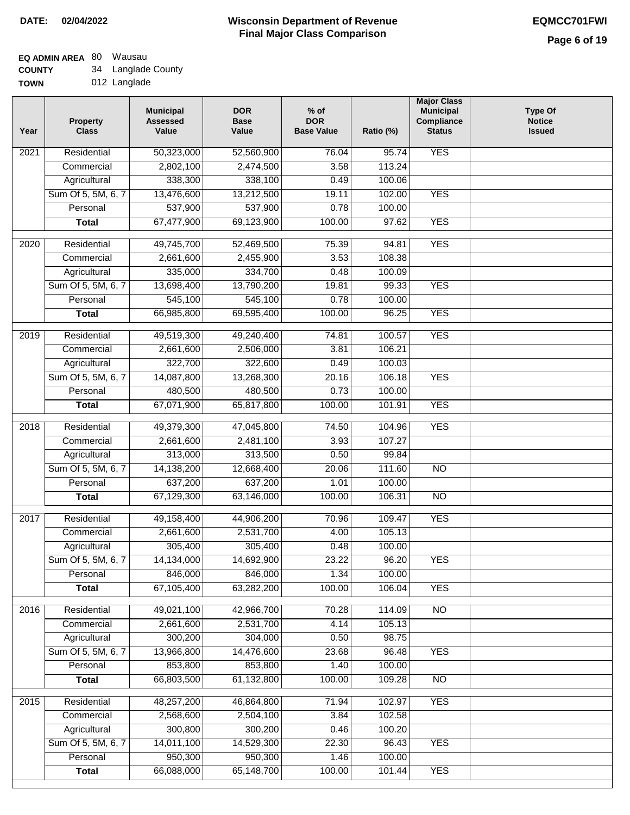# **EQ ADMIN AREA** 80 Wausau

**COUNTY TOWN** 34 Langlade County

012 Langlade

| Year | <b>Property</b><br><b>Class</b> | <b>Municipal</b><br><b>Assessed</b><br>Value | <b>DOR</b><br><b>Base</b><br>Value | $%$ of<br><b>DOR</b><br><b>Base Value</b> | Ratio (%) | <b>Major Class</b><br><b>Municipal</b><br>Compliance<br><b>Status</b> | <b>Type Of</b><br><b>Notice</b><br><b>Issued</b> |
|------|---------------------------------|----------------------------------------------|------------------------------------|-------------------------------------------|-----------|-----------------------------------------------------------------------|--------------------------------------------------|
| 2021 | Residential                     | 50,323,000                                   | 52,560,900                         | 76.04                                     | 95.74     | <b>YES</b>                                                            |                                                  |
|      | Commercial                      | 2,802,100                                    | 2,474,500                          | 3.58                                      | 113.24    |                                                                       |                                                  |
|      | Agricultural                    | 338,300                                      | 338,100                            | 0.49                                      | 100.06    |                                                                       |                                                  |
|      | Sum Of 5, 5M, 6, 7              | 13,476,600                                   | 13,212,500                         | 19.11                                     | 102.00    | <b>YES</b>                                                            |                                                  |
|      | Personal                        | 537,900                                      | 537,900                            | 0.78                                      | 100.00    |                                                                       |                                                  |
|      | <b>Total</b>                    | 67,477,900                                   | 69,123,900                         | 100.00                                    | 97.62     | <b>YES</b>                                                            |                                                  |
| 2020 | Residential                     | 49,745,700                                   | 52,469,500                         | 75.39                                     | 94.81     | <b>YES</b>                                                            |                                                  |
|      | Commercial                      | 2,661,600                                    | 2,455,900                          | 3.53                                      | 108.38    |                                                                       |                                                  |
|      | Agricultural                    | 335,000                                      | 334,700                            | 0.48                                      | 100.09    |                                                                       |                                                  |
|      | Sum Of 5, 5M, 6, 7              | 13,698,400                                   | 13,790,200                         | 19.81                                     | 99.33     | <b>YES</b>                                                            |                                                  |
|      | Personal                        | 545,100                                      | 545,100                            | 0.78                                      | 100.00    |                                                                       |                                                  |
|      | <b>Total</b>                    | 66,985,800                                   | 69,595,400                         | 100.00                                    | 96.25     | <b>YES</b>                                                            |                                                  |
|      |                                 |                                              |                                    |                                           |           |                                                                       |                                                  |
| 2019 | Residential                     | 49,519,300                                   | 49,240,400                         | 74.81                                     | 100.57    | <b>YES</b>                                                            |                                                  |
|      | Commercial                      | 2,661,600                                    | 2,506,000                          | 3.81                                      | 106.21    |                                                                       |                                                  |
|      | Agricultural                    | 322,700                                      | 322,600                            | 0.49                                      | 100.03    |                                                                       |                                                  |
|      | Sum Of 5, 5M, 6, 7              | 14,087,800                                   | 13,268,300                         | 20.16                                     | 106.18    | <b>YES</b>                                                            |                                                  |
|      | Personal                        | 480,500                                      | 480,500                            | 0.73                                      | 100.00    |                                                                       |                                                  |
|      | <b>Total</b>                    | 67,071,900                                   | 65,817,800                         | 100.00                                    | 101.91    | <b>YES</b>                                                            |                                                  |
| 2018 | Residential                     | 49,379,300                                   | 47,045,800                         | 74.50                                     | 104.96    | <b>YES</b>                                                            |                                                  |
|      | Commercial                      | 2,661,600                                    | 2,481,100                          | 3.93                                      | 107.27    |                                                                       |                                                  |
|      | Agricultural                    | 313,000                                      | 313,500                            | 0.50                                      | 99.84     |                                                                       |                                                  |
|      | Sum Of 5, 5M, 6, 7              | 14,138,200                                   | 12,668,400                         | 20.06                                     | 111.60    | $\overline{3}$                                                        |                                                  |
|      | Personal                        | 637,200                                      | 637,200                            | 1.01                                      | 100.00    |                                                                       |                                                  |
|      | <b>Total</b>                    | 67,129,300                                   | 63,146,000                         | 100.00                                    | 106.31    | <b>NO</b>                                                             |                                                  |
| 2017 | Residential                     | 49,158,400                                   | 44,906,200                         | 70.96                                     | 109.47    | <b>YES</b>                                                            |                                                  |
|      | Commercial                      | 2,661,600                                    | 2,531,700                          | 4.00                                      | 105.13    |                                                                       |                                                  |
|      | Agricultural                    | 305,400                                      | 305,400                            | 0.48                                      | 100.00    |                                                                       |                                                  |
|      | Sum Of 5, 5M, 6, 7              | 14,134,000                                   | 14,692,900                         | 23.22                                     | 96.20     | <b>YES</b>                                                            |                                                  |
|      | Personal                        | 846,000                                      | 846,000                            | 1.34                                      | 100.00    |                                                                       |                                                  |
|      | <b>Total</b>                    | 67,105,400                                   | 63,282,200                         | 100.00                                    | 106.04    | <b>YES</b>                                                            |                                                  |
| 2016 | Residential                     | 49,021,100                                   | 42,966,700                         | 70.28                                     | 114.09    | N <sub>O</sub>                                                        |                                                  |
|      | Commercial                      | 2,661,600                                    | 2,531,700                          | 4.14                                      | 105.13    |                                                                       |                                                  |
|      | Agricultural                    | 300,200                                      | 304,000                            | 0.50                                      | 98.75     |                                                                       |                                                  |
|      | Sum Of 5, 5M, 6, 7              | 13,966,800                                   | 14,476,600                         | 23.68                                     | 96.48     | <b>YES</b>                                                            |                                                  |
|      | Personal                        | 853,800                                      | 853,800                            | 1.40                                      | 100.00    |                                                                       |                                                  |
|      | <b>Total</b>                    | 66,803,500                                   | 61,132,800                         | 100.00                                    | 109.28    | $\overline{NO}$                                                       |                                                  |
| 2015 | Residential                     | 48,257,200                                   | 46,864,800                         | 71.94                                     | 102.97    | <b>YES</b>                                                            |                                                  |
|      | Commercial                      | 2,568,600                                    | 2,504,100                          | 3.84                                      | 102.58    |                                                                       |                                                  |
|      | Agricultural                    | 300,800                                      | 300,200                            | 0.46                                      | 100.20    |                                                                       |                                                  |
|      | Sum Of 5, 5M, 6, 7              | 14,011,100                                   | 14,529,300                         | 22.30                                     | 96.43     | <b>YES</b>                                                            |                                                  |
|      | Personal                        | 950,300                                      | 950,300                            | 1.46                                      | 100.00    |                                                                       |                                                  |
|      | <b>Total</b>                    | 66,088,000                                   | 65,148,700                         | 100.00                                    | 101.44    | <b>YES</b>                                                            |                                                  |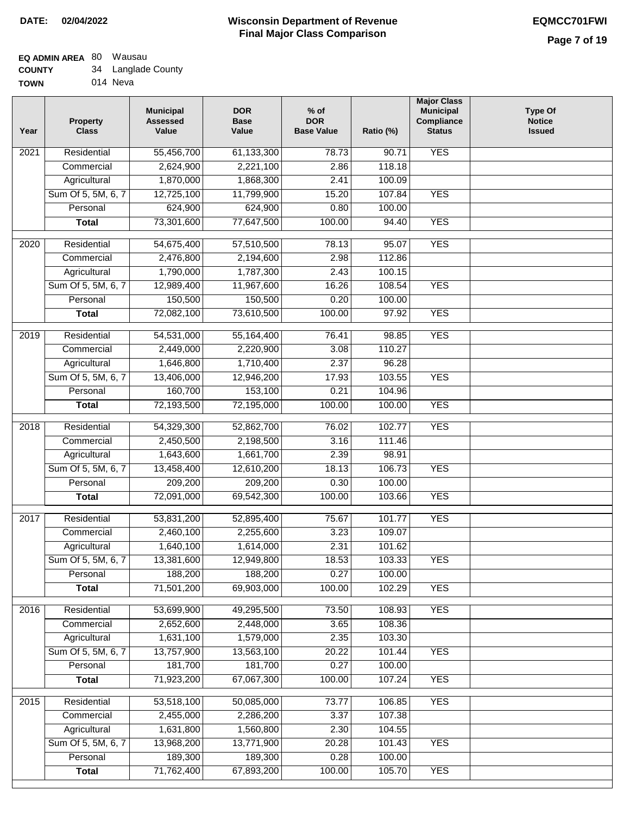# **EQ ADMIN AREA** 80 Wausau

**TOWN** 014 Neva

| Year | <b>Property</b><br><b>Class</b>    | <b>Municipal</b><br><b>Assessed</b><br>Value | <b>DOR</b><br><b>Base</b><br>Value | $%$ of<br><b>DOR</b><br><b>Base Value</b> | Ratio (%) | <b>Major Class</b><br><b>Municipal</b><br>Compliance<br><b>Status</b> | <b>Type Of</b><br><b>Notice</b><br><b>Issued</b> |
|------|------------------------------------|----------------------------------------------|------------------------------------|-------------------------------------------|-----------|-----------------------------------------------------------------------|--------------------------------------------------|
| 2021 | Residential                        | 55,456,700                                   | 61,133,300                         | 78.73                                     | 90.71     | <b>YES</b>                                                            |                                                  |
|      | Commercial                         | 2,624,900                                    | 2,221,100                          | 2.86                                      | 118.18    |                                                                       |                                                  |
|      | Agricultural                       | 1,870,000                                    | 1,868,300                          | 2.41                                      | 100.09    |                                                                       |                                                  |
|      | Sum Of 5, 5M, 6, 7                 | 12,725,100                                   | 11,799,900                         | 15.20                                     | 107.84    | <b>YES</b>                                                            |                                                  |
|      | Personal                           | 624,900                                      | 624,900                            | 0.80                                      | 100.00    |                                                                       |                                                  |
|      | <b>Total</b>                       | 73,301,600                                   | 77,647,500                         | 100.00                                    | 94.40     | <b>YES</b>                                                            |                                                  |
| 2020 | Residential                        | 54,675,400                                   | 57,510,500                         | 78.13                                     | 95.07     | <b>YES</b>                                                            |                                                  |
|      | Commercial                         | 2,476,800                                    | 2,194,600                          | 2.98                                      | 112.86    |                                                                       |                                                  |
|      | Agricultural                       | 1,790,000                                    | 1,787,300                          | 2.43                                      | 100.15    |                                                                       |                                                  |
|      | Sum Of 5, 5M, 6, 7                 | 12,989,400                                   | 11,967,600                         | 16.26                                     | 108.54    | <b>YES</b>                                                            |                                                  |
|      | Personal                           | 150,500                                      | 150,500                            | 0.20                                      | 100.00    |                                                                       |                                                  |
|      | <b>Total</b>                       | 72,082,100                                   | 73,610,500                         | 100.00                                    | 97.92     | <b>YES</b>                                                            |                                                  |
| 2019 | Residential                        | 54,531,000                                   | 55,164,400                         | 76.41                                     | 98.85     | <b>YES</b>                                                            |                                                  |
|      | Commercial                         | 2,449,000                                    | 2,220,900                          | 3.08                                      | 110.27    |                                                                       |                                                  |
|      |                                    | 1,646,800                                    | 1,710,400                          | 2.37                                      | 96.28     |                                                                       |                                                  |
|      | Agricultural<br>Sum Of 5, 5M, 6, 7 | 13,406,000                                   | 12,946,200                         | 17.93                                     | 103.55    | <b>YES</b>                                                            |                                                  |
|      | Personal                           | 160,700                                      | 153,100                            | 0.21                                      | 104.96    |                                                                       |                                                  |
|      | <b>Total</b>                       | 72,193,500                                   | 72,195,000                         | 100.00                                    | 100.00    | <b>YES</b>                                                            |                                                  |
|      |                                    |                                              |                                    |                                           |           |                                                                       |                                                  |
| 2018 | Residential                        | 54,329,300                                   | 52,862,700                         | 76.02                                     | 102.77    | <b>YES</b>                                                            |                                                  |
|      | Commercial                         | 2,450,500                                    | 2,198,500                          | 3.16                                      | 111.46    |                                                                       |                                                  |
|      | Agricultural                       | 1,643,600                                    | 1,661,700                          | 2.39                                      | 98.91     |                                                                       |                                                  |
|      | Sum Of 5, 5M, 6, 7                 | 13,458,400                                   | 12,610,200                         | 18.13                                     | 106.73    | <b>YES</b>                                                            |                                                  |
|      | Personal                           | 209,200                                      | 209,200                            | 0.30                                      | 100.00    |                                                                       |                                                  |
|      | <b>Total</b>                       | 72,091,000                                   | 69,542,300                         | 100.00                                    | 103.66    | <b>YES</b>                                                            |                                                  |
| 2017 | Residential                        | 53,831,200                                   | 52,895,400                         | 75.67                                     | 101.77    | <b>YES</b>                                                            |                                                  |
|      | Commercial                         | 2,460,100                                    | 2,255,600                          | 3.23                                      | 109.07    |                                                                       |                                                  |
|      | Agricultural                       | 1,640,100                                    | 1,614,000                          | 2.31                                      | 101.62    |                                                                       |                                                  |
|      | Sum Of 5, 5M, 6, 7                 | 13,381,600                                   | 12,949,800                         | 18.53                                     | 103.33    | <b>YES</b>                                                            |                                                  |
|      | Personal                           | 188,200                                      | 188,200                            | 0.27                                      | 100.00    |                                                                       |                                                  |
|      | <b>Total</b>                       | 71,501,200                                   | 69,903,000                         | 100.00                                    | 102.29    | <b>YES</b>                                                            |                                                  |
| 2016 | Residential                        | 53,699,900                                   | 49,295,500                         | 73.50                                     | 108.93    | <b>YES</b>                                                            |                                                  |
|      | Commercial                         | 2,652,600                                    | 2,448,000                          | 3.65                                      | 108.36    |                                                                       |                                                  |
|      | Agricultural                       | 1,631,100                                    | 1,579,000                          | 2.35                                      | 103.30    |                                                                       |                                                  |
|      | Sum Of 5, 5M, 6, 7                 | 13,757,900                                   | 13,563,100                         | 20.22                                     | 101.44    | <b>YES</b>                                                            |                                                  |
|      | Personal                           | 181,700                                      | 181,700                            | 0.27                                      | 100.00    |                                                                       |                                                  |
|      | <b>Total</b>                       | 71,923,200                                   | 67,067,300                         | 100.00                                    | 107.24    | <b>YES</b>                                                            |                                                  |
| 2015 | Residential                        | 53,518,100                                   | 50,085,000                         | 73.77                                     | 106.85    | <b>YES</b>                                                            |                                                  |
|      | Commercial                         | 2,455,000                                    | 2,286,200                          | 3.37                                      | 107.38    |                                                                       |                                                  |
|      | Agricultural                       | 1,631,800                                    | 1,560,800                          | 2.30                                      | 104.55    |                                                                       |                                                  |
|      | Sum Of 5, 5M, 6, 7                 | 13,968,200                                   | 13,771,900                         | 20.28                                     | 101.43    | <b>YES</b>                                                            |                                                  |
|      | Personal                           | 189,300                                      | 189,300                            | 0.28                                      | 100.00    |                                                                       |                                                  |
|      | <b>Total</b>                       | 71,762,400                                   | 67,893,200                         | 100.00                                    | 105.70    | <b>YES</b>                                                            |                                                  |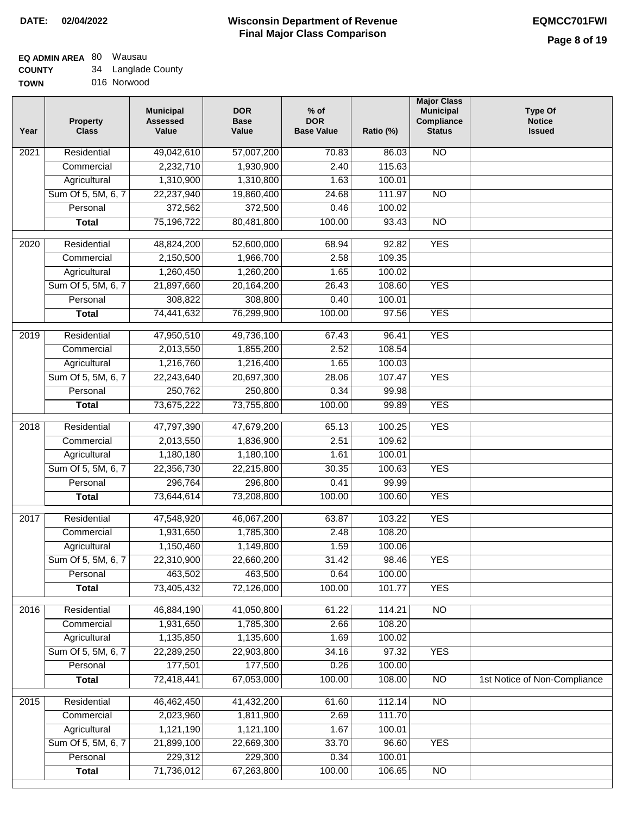# **Wisconsin Department of Revenue Final Major Class Comparison DATE: 02/04/2022 EQMCC701FWI**

#### **EQ ADMIN AREA** 80 Wausau **COUNTY** 34 Langlade County

| <b>UUUNII</b> | Langiauc Obur |
|---------------|---------------|
| <b>TOWN</b>   | 016 Norwood   |

| Year              | <b>Property</b><br><b>Class</b> | <b>Municipal</b><br><b>Assessed</b><br>Value | <b>DOR</b><br><b>Base</b><br>Value | $%$ of<br><b>DOR</b><br><b>Base Value</b> | Ratio (%) | <b>Major Class</b><br><b>Municipal</b><br>Compliance<br><b>Status</b> | <b>Type Of</b><br><b>Notice</b><br><b>Issued</b> |
|-------------------|---------------------------------|----------------------------------------------|------------------------------------|-------------------------------------------|-----------|-----------------------------------------------------------------------|--------------------------------------------------|
| 2021              | Residential                     | 49,042,610                                   | 57,007,200                         | 70.83                                     | 86.03     | <b>NO</b>                                                             |                                                  |
|                   | Commercial                      | 2,232,710                                    | 1,930,900                          | 2.40                                      | 115.63    |                                                                       |                                                  |
|                   | Agricultural                    | 1,310,900                                    | 1,310,800                          | 1.63                                      | 100.01    |                                                                       |                                                  |
|                   | Sum Of 5, 5M, 6, 7              | 22,237,940                                   | 19,860,400                         | 24.68                                     | 111.97    | $\overline{NO}$                                                       |                                                  |
|                   | Personal                        | 372,562                                      | 372,500                            | 0.46                                      | 100.02    |                                                                       |                                                  |
|                   | <b>Total</b>                    | 75,196,722                                   | 80,481,800                         | 100.00                                    | 93.43     | $\overline{NO}$                                                       |                                                  |
| $\overline{2020}$ | Residential                     | 48,824,200                                   | 52,600,000                         | 68.94                                     | 92.82     | <b>YES</b>                                                            |                                                  |
|                   | Commercial                      | 2,150,500                                    | 1,966,700                          | 2.58                                      | 109.35    |                                                                       |                                                  |
|                   | Agricultural                    | 1,260,450                                    | 1,260,200                          | 1.65                                      | 100.02    |                                                                       |                                                  |
|                   | Sum Of 5, 5M, 6, 7              | 21,897,660                                   | 20,164,200                         | 26.43                                     | 108.60    | <b>YES</b>                                                            |                                                  |
|                   | Personal                        | 308,822                                      | 308,800                            | 0.40                                      | 100.01    |                                                                       |                                                  |
|                   | <b>Total</b>                    | 74,441,632                                   | 76,299,900                         | 100.00                                    | 97.56     | <b>YES</b>                                                            |                                                  |
| $\frac{1}{2019}$  | Residential                     | 47,950,510                                   | 49,736,100                         | 67.43                                     | 96.41     | <b>YES</b>                                                            |                                                  |
|                   | Commercial                      | 2,013,550                                    | 1,855,200                          | 2.52                                      | 108.54    |                                                                       |                                                  |
|                   | Agricultural                    | 1,216,760                                    | 1,216,400                          | 1.65                                      | 100.03    |                                                                       |                                                  |
|                   | Sum Of 5, 5M, 6, 7              | 22,243,640                                   | 20,697,300                         | 28.06                                     | 107.47    | <b>YES</b>                                                            |                                                  |
|                   | Personal                        | 250,762                                      | 250,800                            | 0.34                                      | 99.98     |                                                                       |                                                  |
|                   | <b>Total</b>                    | 73,675,222                                   | 73,755,800                         | 100.00                                    | 99.89     | <b>YES</b>                                                            |                                                  |
|                   |                                 |                                              |                                    |                                           |           |                                                                       |                                                  |
| 2018              | Residential                     | 47,797,390                                   | 47,679,200                         | 65.13                                     | 100.25    | <b>YES</b>                                                            |                                                  |
|                   | Commercial                      | 2,013,550                                    | 1,836,900                          | 2.51                                      | 109.62    |                                                                       |                                                  |
|                   | Agricultural                    | 1,180,180                                    | 1,180,100                          | 1.61                                      | 100.01    |                                                                       |                                                  |
|                   | Sum Of 5, 5M, 6, 7              | 22,356,730                                   | 22,215,800                         | 30.35                                     | 100.63    | <b>YES</b>                                                            |                                                  |
|                   | Personal                        | 296,764                                      | 296,800                            | 0.41                                      | 99.99     |                                                                       |                                                  |
|                   | <b>Total</b>                    | 73,644,614                                   | 73,208,800                         | 100.00                                    | 100.60    | <b>YES</b>                                                            |                                                  |
| 2017              | Residential                     | 47,548,920                                   | 46,067,200                         | 63.87                                     | 103.22    | <b>YES</b>                                                            |                                                  |
|                   | Commercial                      | 1,931,650                                    | 1,785,300                          | 2.48                                      | 108.20    |                                                                       |                                                  |
|                   | Agricultural                    | 1,150,460                                    | 1,149,800                          | 1.59                                      | 100.06    |                                                                       |                                                  |
|                   | Sum Of 5, 5M, 6, 7              | 22,310,900                                   | 22,660,200                         | 31.42                                     | 98.46     | <b>YES</b>                                                            |                                                  |
|                   | Personal                        | 463,502                                      | 463,500                            | 0.64                                      | 100.00    |                                                                       |                                                  |
|                   | <b>Total</b>                    | 73,405,432                                   | 72,126,000                         | 100.00                                    | 101.77    | <b>YES</b>                                                            |                                                  |
| 2016              | Residential                     | 46,884,190                                   | 41,050,800                         | 61.22                                     | 114.21    | N <sub>O</sub>                                                        |                                                  |
|                   | Commercial                      | 1,931,650                                    | 1,785,300                          | 2.66                                      | 108.20    |                                                                       |                                                  |
|                   | Agricultural                    | 1,135,850                                    | 1,135,600                          | 1.69                                      | 100.02    |                                                                       |                                                  |
|                   | Sum Of 5, 5M, 6, 7              | 22,289,250                                   | 22,903,800                         | 34.16                                     | 97.32     | <b>YES</b>                                                            |                                                  |
|                   | Personal                        | 177,501                                      | 177,500                            | 0.26                                      | 100.00    |                                                                       |                                                  |
|                   | <b>Total</b>                    | 72,418,441                                   | 67,053,000                         | 100.00                                    | 108.00    | $\overline{NO}$                                                       | 1st Notice of Non-Compliance                     |
| 2015              | Residential                     | 46,462,450                                   | 41,432,200                         | 61.60                                     | 112.14    | N <sub>O</sub>                                                        |                                                  |
|                   | Commercial                      | 2,023,960                                    | 1,811,900                          | 2.69                                      | 111.70    |                                                                       |                                                  |
|                   | Agricultural                    | 1,121,190                                    | 1,121,100                          | 1.67                                      | 100.01    |                                                                       |                                                  |
|                   | Sum Of 5, 5M, 6, 7              | 21,899,100                                   | 22,669,300                         | 33.70                                     | 96.60     | <b>YES</b>                                                            |                                                  |
|                   | Personal                        | 229,312                                      | 229,300                            | 0.34                                      | 100.01    |                                                                       |                                                  |
|                   | <b>Total</b>                    | 71,736,012                                   | 67,263,800                         | 100.00                                    | 106.65    | $\overline{NO}$                                                       |                                                  |
|                   |                                 |                                              |                                    |                                           |           |                                                                       |                                                  |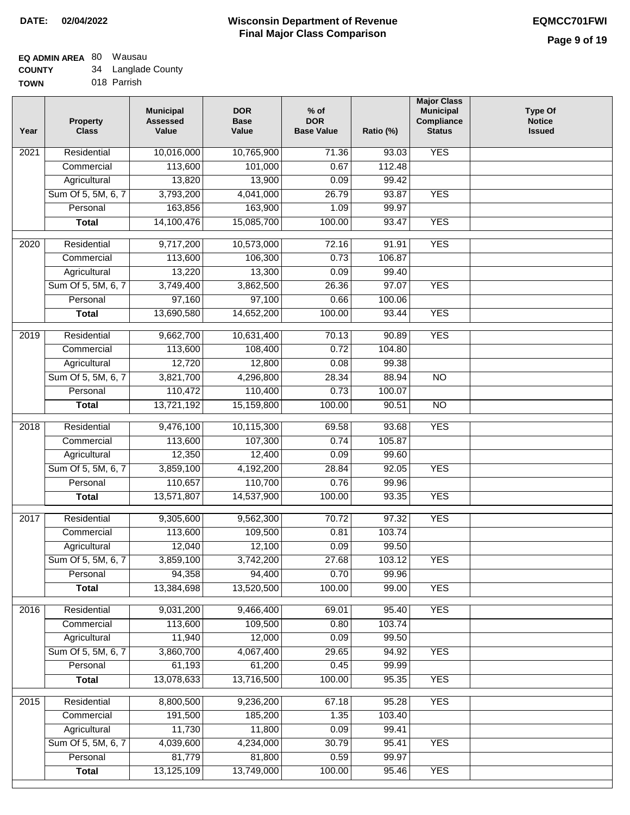# **Wisconsin Department of Revenue Final Major Class Comparison DATE: 02/04/2022 EQMCC701FWI**

#### **EQ ADMIN AREA** 80 Wausau **COUNTY** 34 Langlade County

| <b>COUNTY</b> | -94 | Langiaue Cour |
|---------------|-----|---------------|
| <b>TOWN</b>   |     | 018 Parrish   |

| Year             | <b>Property</b><br><b>Class</b> | <b>Municipal</b><br><b>Assessed</b><br>Value | <b>DOR</b><br><b>Base</b><br>Value | $%$ of<br><b>DOR</b><br><b>Base Value</b> | Ratio (%) | <b>Major Class</b><br><b>Municipal</b><br>Compliance<br><b>Status</b> | <b>Type Of</b><br><b>Notice</b><br><b>Issued</b> |
|------------------|---------------------------------|----------------------------------------------|------------------------------------|-------------------------------------------|-----------|-----------------------------------------------------------------------|--------------------------------------------------|
| 2021             | Residential                     | 10,016,000                                   | 10,765,900                         | 71.36                                     | 93.03     | <b>YES</b>                                                            |                                                  |
|                  | Commercial                      | 113,600                                      | 101,000                            | 0.67                                      | 112.48    |                                                                       |                                                  |
|                  | Agricultural                    | 13,820                                       | 13,900                             | 0.09                                      | 99.42     |                                                                       |                                                  |
|                  | Sum Of 5, 5M, 6, 7              | 3,793,200                                    | 4,041,000                          | 26.79                                     | 93.87     | <b>YES</b>                                                            |                                                  |
|                  | Personal                        | 163,856                                      | 163,900                            | 1.09                                      | 99.97     |                                                                       |                                                  |
|                  | <b>Total</b>                    | 14,100,476                                   | 15,085,700                         | 100.00                                    | 93.47     | <b>YES</b>                                                            |                                                  |
| $\frac{1}{2020}$ | Residential                     | 9,717,200                                    | 10,573,000                         | 72.16                                     | 91.91     | <b>YES</b>                                                            |                                                  |
|                  | Commercial                      | 113,600                                      | 106,300                            | 0.73                                      | 106.87    |                                                                       |                                                  |
|                  | Agricultural                    | 13,220                                       | 13,300                             | 0.09                                      | 99.40     |                                                                       |                                                  |
|                  | Sum Of 5, 5M, 6, 7              | 3,749,400                                    | 3,862,500                          | 26.36                                     | 97.07     | <b>YES</b>                                                            |                                                  |
|                  | Personal                        | 97,160                                       | 97,100                             | 0.66                                      | 100.06    |                                                                       |                                                  |
|                  | <b>Total</b>                    | 13,690,580                                   | 14,652,200                         | 100.00                                    | 93.44     | <b>YES</b>                                                            |                                                  |
|                  |                                 |                                              |                                    |                                           |           |                                                                       |                                                  |
| 2019             | Residential                     | 9,662,700                                    | 10,631,400                         | 70.13                                     | 90.89     | <b>YES</b>                                                            |                                                  |
|                  | Commercial                      | 113,600                                      | 108,400                            | 0.72                                      | 104.80    |                                                                       |                                                  |
|                  | Agricultural                    | 12,720                                       | 12,800                             | 0.08                                      | 99.38     |                                                                       |                                                  |
|                  | Sum Of 5, 5M, 6, 7              | 3,821,700                                    | 4,296,800                          | 28.34                                     | 88.94     | $\overline{NO}$                                                       |                                                  |
|                  | Personal                        | 110,472                                      | 110,400                            | 0.73                                      | 100.07    |                                                                       |                                                  |
|                  | <b>Total</b>                    | 13,721,192                                   | 15,159,800                         | 100.00                                    | 90.51     | $\overline{NO}$                                                       |                                                  |
| 2018             | Residential                     | 9,476,100                                    | 10,115,300                         | 69.58                                     | 93.68     | <b>YES</b>                                                            |                                                  |
|                  | Commercial                      | 113,600                                      | 107,300                            | 0.74                                      | 105.87    |                                                                       |                                                  |
|                  | Agricultural                    | 12,350                                       | 12,400                             | 0.09                                      | 99.60     |                                                                       |                                                  |
|                  | Sum Of 5, 5M, 6, 7              | 3,859,100                                    | 4,192,200                          | 28.84                                     | 92.05     | <b>YES</b>                                                            |                                                  |
|                  | Personal                        | 110,657                                      | 110,700                            | 0.76                                      | 99.96     |                                                                       |                                                  |
|                  | <b>Total</b>                    | 13,571,807                                   | 14,537,900                         | 100.00                                    | 93.35     | <b>YES</b>                                                            |                                                  |
| 2017             | Residential                     | 9,305,600                                    | 9,562,300                          | 70.72                                     | 97.32     | <b>YES</b>                                                            |                                                  |
|                  | Commercial                      | 113,600                                      | 109,500                            | 0.81                                      | 103.74    |                                                                       |                                                  |
|                  | Agricultural                    | 12,040                                       | 12,100                             | 0.09                                      | 99.50     |                                                                       |                                                  |
|                  | Sum Of 5, 5M, 6, 7              | 3,859,100                                    | 3,742,200                          | 27.68                                     | 103.12    | <b>YES</b>                                                            |                                                  |
|                  | Personal                        | 94,358                                       | 94,400                             | 0.70                                      | 99.96     |                                                                       |                                                  |
|                  | <b>Total</b>                    | 13,384,698                                   | 13,520,500                         | 100.00                                    | 99.00     | <b>YES</b>                                                            |                                                  |
| 2016             | Residential                     | 9,031,200                                    | 9,466,400                          | 69.01                                     | 95.40     | <b>YES</b>                                                            |                                                  |
|                  | Commercial                      | 113,600                                      | 109,500                            | 0.80                                      | 103.74    |                                                                       |                                                  |
|                  | Agricultural                    | 11,940                                       | 12,000                             | 0.09                                      | 99.50     |                                                                       |                                                  |
|                  | Sum Of 5, 5M, 6, 7              | 3,860,700                                    | 4,067,400                          | 29.65                                     | 94.92     | <b>YES</b>                                                            |                                                  |
|                  | Personal                        | 61,193                                       | 61,200                             | 0.45                                      | 99.99     |                                                                       |                                                  |
|                  | <b>Total</b>                    | 13,078,633                                   | 13,716,500                         | 100.00                                    | 95.35     | <b>YES</b>                                                            |                                                  |
| 2015             | Residential                     | 8,800,500                                    | 9,236,200                          | 67.18                                     | 95.28     | <b>YES</b>                                                            |                                                  |
|                  | Commercial                      | 191,500                                      | 185,200                            | 1.35                                      | 103.40    |                                                                       |                                                  |
|                  | Agricultural                    | 11,730                                       | 11,800                             | 0.09                                      | 99.41     |                                                                       |                                                  |
|                  | Sum Of 5, 5M, 6, 7              | 4,039,600                                    | 4,234,000                          | 30.79                                     | 95.41     | <b>YES</b>                                                            |                                                  |
|                  | Personal                        | 81,779                                       | 81,800                             | 0.59                                      | 99.97     |                                                                       |                                                  |
|                  | <b>Total</b>                    | 13,125,109                                   | 13,749,000                         | 100.00                                    | 95.46     | <b>YES</b>                                                            |                                                  |
|                  |                                 |                                              |                                    |                                           |           |                                                                       |                                                  |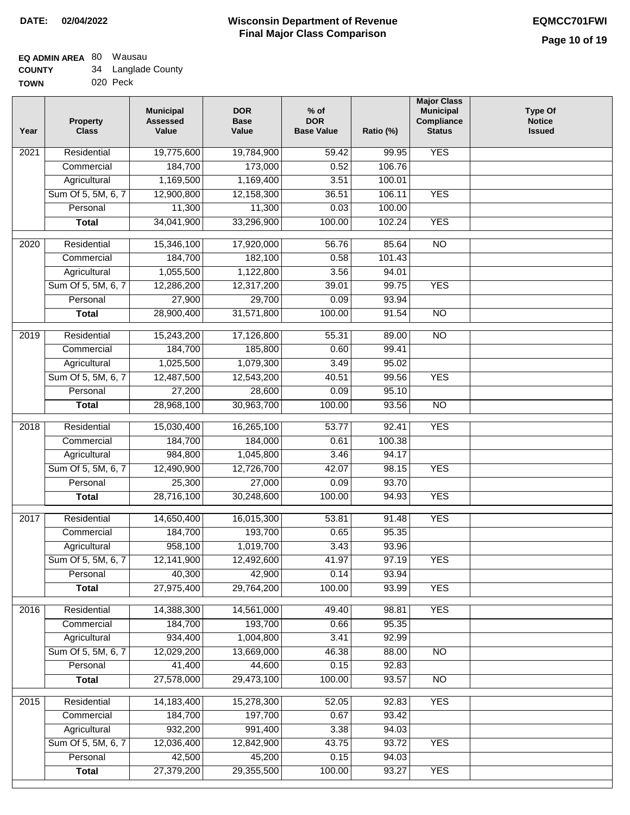## **Wisconsin Department of Revenue Final Major Class Comparison DATE: 02/04/2022 EQMCC701FWI**

٦

#### **EQ ADMIN AREA** 80 Wausau **COUNTY** 34 Langlade County

|             | -        |
|-------------|----------|
| <b>TOWN</b> | 020 Peck |

| Year              | <b>Property</b><br><b>Class</b> | <b>Municipal</b><br><b>Assessed</b><br>Value | <b>DOR</b><br><b>Base</b><br>Value | $%$ of<br><b>DOR</b><br><b>Base Value</b> | Ratio (%)      | <b>Major Class</b><br><b>Municipal</b><br>Compliance<br><b>Status</b> | <b>Type Of</b><br><b>Notice</b><br><b>Issued</b> |
|-------------------|---------------------------------|----------------------------------------------|------------------------------------|-------------------------------------------|----------------|-----------------------------------------------------------------------|--------------------------------------------------|
| 2021              | Residential                     | 19,775,600                                   | 19,784,900                         | 59.42                                     | 99.95          | <b>YES</b>                                                            |                                                  |
|                   | Commercial                      | 184,700                                      | 173,000                            | 0.52                                      | 106.76         |                                                                       |                                                  |
|                   | Agricultural                    | 1,169,500                                    | 1,169,400                          | 3.51                                      | 100.01         |                                                                       |                                                  |
|                   | Sum Of 5, 5M, 6, 7              | 12,900,800                                   | 12,158,300                         | 36.51                                     | 106.11         | <b>YES</b>                                                            |                                                  |
|                   | Personal                        | 11,300                                       | 11,300                             | 0.03                                      | 100.00         |                                                                       |                                                  |
|                   | <b>Total</b>                    | 34,041,900                                   | 33,296,900                         | 100.00                                    | 102.24         | <b>YES</b>                                                            |                                                  |
| 2020              | Residential                     | 15,346,100                                   | 17,920,000                         | 56.76                                     | 85.64          | $\overline{10}$                                                       |                                                  |
|                   | Commercial                      | 184,700                                      | 182,100                            | 0.58                                      | 101.43         |                                                                       |                                                  |
|                   | Agricultural                    | 1,055,500                                    | 1,122,800                          | 3.56                                      | 94.01          |                                                                       |                                                  |
|                   | Sum Of 5, 5M, 6, 7              | 12,286,200                                   | 12,317,200                         | 39.01                                     | 99.75          | <b>YES</b>                                                            |                                                  |
|                   | Personal                        | 27,900                                       | 29,700                             | 0.09                                      | 93.94          |                                                                       |                                                  |
|                   | <b>Total</b>                    | 28,900,400                                   | 31,571,800                         | 100.00                                    | 91.54          | $\overline{NO}$                                                       |                                                  |
| 2019              | Residential                     | 15,243,200                                   | 17,126,800                         | 55.31                                     | 89.00          | $\overline{10}$                                                       |                                                  |
|                   | Commercial                      | 184,700                                      | 185,800                            | 0.60                                      | 99.41          |                                                                       |                                                  |
|                   | Agricultural                    | 1,025,500                                    | 1,079,300                          | 3.49                                      | 95.02          |                                                                       |                                                  |
|                   | Sum Of 5, 5M, 6, 7              | 12,487,500                                   | 12,543,200                         | 40.51                                     | 99.56          | <b>YES</b>                                                            |                                                  |
|                   | Personal                        | 27,200                                       | 28,600                             | 0.09                                      | 95.10          |                                                                       |                                                  |
|                   | <b>Total</b>                    | 28,968,100                                   | 30,963,700                         | 100.00                                    | 93.56          | $\overline{NO}$                                                       |                                                  |
| $\overline{2018}$ | Residential                     | 15,030,400                                   | 16,265,100                         | 53.77                                     | 92.41          | <b>YES</b>                                                            |                                                  |
|                   | Commercial                      | 184,700                                      | 184,000                            | 0.61                                      | 100.38         |                                                                       |                                                  |
|                   | Agricultural                    | 984,800                                      | 1,045,800                          | 3.46                                      | 94.17          |                                                                       |                                                  |
|                   | Sum Of 5, 5M, 6, 7              | 12,490,900                                   | 12,726,700                         | 42.07                                     | 98.15          | <b>YES</b>                                                            |                                                  |
|                   | Personal                        | 25,300                                       | 27,000                             | 0.09                                      | 93.70          |                                                                       |                                                  |
|                   | <b>Total</b>                    | 28,716,100                                   | 30,248,600                         | 100.00                                    | 94.93          | <b>YES</b>                                                            |                                                  |
| 2017              | Residential                     | 14,650,400                                   | 16,015,300                         | 53.81                                     | 91.48          | <b>YES</b>                                                            |                                                  |
|                   | Commercial                      | 184,700                                      | 193,700                            | 0.65                                      | 95.35          |                                                                       |                                                  |
|                   | Agricultural                    | 958,100                                      | 1,019,700                          | 3.43                                      | 93.96          |                                                                       |                                                  |
|                   | Sum Of 5, 5M, 6, 7              | 12,141,900                                   | 12,492,600                         | 41.97                                     | 97.19          | <b>YES</b>                                                            |                                                  |
|                   | Personal                        | 40,300                                       | 42,900                             | 0.14                                      | 93.94          |                                                                       |                                                  |
|                   | <b>Total</b>                    | 27,975,400                                   | 29,764,200                         | 100.00                                    | 93.99          | <b>YES</b>                                                            |                                                  |
| 2016              | Residential                     | 14,388,300                                   | 14,561,000                         | 49.40                                     | 98.81          | <b>YES</b>                                                            |                                                  |
|                   | Commercial                      | 184,700                                      | 193,700                            | 0.66                                      | 95.35          |                                                                       |                                                  |
|                   | Agricultural                    | 934,400                                      | 1,004,800                          | 3.41                                      | 92.99          |                                                                       |                                                  |
|                   | Sum Of 5, 5M, 6, 7              | 12,029,200                                   | 13,669,000                         | 46.38                                     | 88.00          | <b>NO</b>                                                             |                                                  |
|                   | Personal                        | 41,400                                       | 44,600                             | 0.15                                      | 92.83          |                                                                       |                                                  |
|                   | <b>Total</b>                    | 27,578,000                                   | 29,473,100                         | 100.00                                    | 93.57          | <b>NO</b>                                                             |                                                  |
|                   |                                 |                                              |                                    |                                           |                |                                                                       |                                                  |
| 2015              | Residential                     | 14,183,400                                   | 15,278,300                         | 52.05                                     | 92.83          | <b>YES</b>                                                            |                                                  |
|                   | Commercial                      | 184,700                                      | 197,700                            | 0.67                                      | 93.42          |                                                                       |                                                  |
|                   | Agricultural                    | 932,200                                      | 991,400                            | 3.38                                      | 94.03          |                                                                       |                                                  |
|                   | Sum Of 5, 5M, 6, 7              | 12,036,400                                   | 12,842,900                         | 43.75                                     | 93.72          | <b>YES</b>                                                            |                                                  |
|                   | Personal                        | 42,500                                       | 45,200                             | 0.15                                      | 94.03<br>93.27 | <b>YES</b>                                                            |                                                  |
|                   | <b>Total</b>                    | 27,379,200                                   | 29,355,500                         | 100.00                                    |                |                                                                       |                                                  |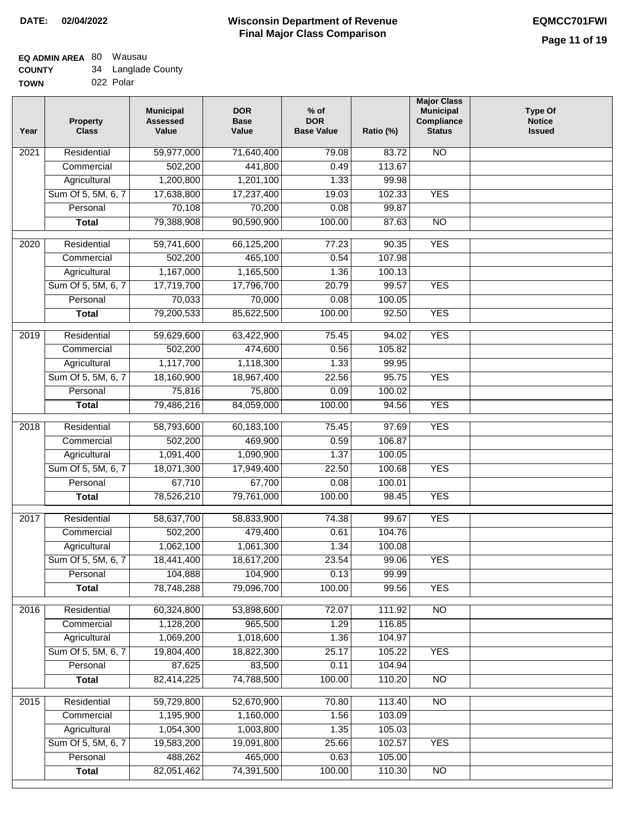# **EQ ADMIN AREA** 80 Wausau **COUNTY**

| <b>COUNTY</b> | 34 Langlade County |
|---------------|--------------------|
| <b>TOWN</b>   | 022 Polar          |

| Year              | <b>Property</b><br><b>Class</b> | <b>Municipal</b><br><b>Assessed</b><br>Value | <b>DOR</b><br><b>Base</b><br>Value | $%$ of<br><b>DOR</b><br><b>Base Value</b> | Ratio (%) | <b>Major Class</b><br><b>Municipal</b><br>Compliance<br><b>Status</b> | <b>Type Of</b><br><b>Notice</b><br><b>Issued</b> |
|-------------------|---------------------------------|----------------------------------------------|------------------------------------|-------------------------------------------|-----------|-----------------------------------------------------------------------|--------------------------------------------------|
| 2021              | Residential                     | 59,977,000                                   | 71,640,400                         | 79.08                                     | 83.72     | <b>NO</b>                                                             |                                                  |
|                   | Commercial                      | 502,200                                      | 441,800                            | 0.49                                      | 113.67    |                                                                       |                                                  |
|                   | Agricultural                    | 1,200,800                                    | 1,201,100                          | 1.33                                      | 99.98     |                                                                       |                                                  |
|                   | Sum Of 5, 5M, 6, 7              | 17,638,800                                   | 17,237,400                         | 19.03                                     | 102.33    | <b>YES</b>                                                            |                                                  |
|                   | Personal                        | 70,108                                       | 70,200                             | 0.08                                      | 99.87     |                                                                       |                                                  |
|                   | <b>Total</b>                    | 79,388,908                                   | 90,590,900                         | 100.00                                    | 87.63     | $\overline{NO}$                                                       |                                                  |
| 2020              | Residential                     | 59,741,600                                   | 66,125,200                         | 77.23                                     | 90.35     | <b>YES</b>                                                            |                                                  |
|                   | Commercial                      | 502,200                                      | 465,100                            | 0.54                                      | 107.98    |                                                                       |                                                  |
|                   | Agricultural                    | 1,167,000                                    | 1,165,500                          | 1.36                                      | 100.13    |                                                                       |                                                  |
|                   | Sum Of 5, 5M, 6, 7              | 17,719,700                                   | 17,796,700                         | 20.79                                     | 99.57     | <b>YES</b>                                                            |                                                  |
|                   | Personal                        | 70,033                                       | 70,000                             | 0.08                                      | 100.05    |                                                                       |                                                  |
|                   | <b>Total</b>                    | 79,200,533                                   | 85,622,500                         | 100.00                                    | 92.50     | <b>YES</b>                                                            |                                                  |
|                   |                                 |                                              |                                    |                                           |           |                                                                       |                                                  |
| 2019              | Residential                     | 59,629,600                                   | 63,422,900                         | 75.45                                     | 94.02     | <b>YES</b>                                                            |                                                  |
|                   | Commercial                      | 502,200                                      | 474,600                            | 0.56                                      | 105.82    |                                                                       |                                                  |
|                   | Agricultural                    | 1,117,700                                    | 1,118,300                          | 1.33                                      | 99.95     |                                                                       |                                                  |
|                   | Sum Of 5, 5M, 6, 7              | 18,160,900                                   | 18,967,400                         | 22.56                                     | 95.75     | <b>YES</b>                                                            |                                                  |
|                   | Personal                        | 75,816                                       | 75,800                             | 0.09                                      | 100.02    |                                                                       |                                                  |
|                   | <b>Total</b>                    | 79,486,216                                   | 84,059,000                         | 100.00                                    | 94.56     | <b>YES</b>                                                            |                                                  |
| $\overline{2018}$ | Residential                     | 58,793,600                                   | 60,183,100                         | 75.45                                     | 97.69     | <b>YES</b>                                                            |                                                  |
|                   | Commercial                      | 502,200                                      | 469,900                            | 0.59                                      | 106.87    |                                                                       |                                                  |
|                   | Agricultural                    | 1,091,400                                    | 1,090,900                          | 1.37                                      | 100.05    |                                                                       |                                                  |
|                   | Sum Of 5, 5M, 6, 7              | 18,071,300                                   | 17,949,400                         | 22.50                                     | 100.68    | <b>YES</b>                                                            |                                                  |
|                   | Personal                        | 67,710                                       | 67,700                             | 0.08                                      | 100.01    |                                                                       |                                                  |
|                   | <b>Total</b>                    | 78,526,210                                   | 79,761,000                         | 100.00                                    | 98.45     | <b>YES</b>                                                            |                                                  |
| 2017              | Residential                     | 58,637,700                                   | 58,833,900                         | 74.38                                     | 99.67     | <b>YES</b>                                                            |                                                  |
|                   | Commercial                      | 502,200                                      | 479,400                            | 0.61                                      | 104.76    |                                                                       |                                                  |
|                   | Agricultural                    | 1,062,100                                    | 1,061,300                          | 1.34                                      | 100.08    |                                                                       |                                                  |
|                   | Sum Of 5, 5M, 6, 7              | 18,441,400                                   | 18,617,200                         | 23.54                                     | 99.06     | YES                                                                   |                                                  |
|                   | Personal                        | 104,888                                      | 104,900                            | 0.13                                      | 99.99     |                                                                       |                                                  |
|                   | <b>Total</b>                    | 78,748,288                                   | 79,096,700                         | 100.00                                    | 99.56     | <b>YES</b>                                                            |                                                  |
| 2016              | Residential                     | 60,324,800                                   | 53,898,600                         | 72.07                                     | 111.92    | N <sub>O</sub>                                                        |                                                  |
|                   | Commercial                      | 1,128,200                                    | 965,500                            | 1.29                                      | 116.85    |                                                                       |                                                  |
|                   | Agricultural                    | 1,069,200                                    | 1,018,600                          | 1.36                                      | 104.97    |                                                                       |                                                  |
|                   | Sum Of 5, 5M, 6, 7              | 19,804,400                                   | 18,822,300                         | 25.17                                     | 105.22    | <b>YES</b>                                                            |                                                  |
|                   | Personal                        | 87,625                                       | 83,500                             | 0.11                                      | 104.94    |                                                                       |                                                  |
|                   | <b>Total</b>                    | 82,414,225                                   | 74,788,500                         | 100.00                                    | 110.20    | $\overline{NO}$                                                       |                                                  |
| $\overline{2015}$ | Residential                     | 59,729,800                                   | 52,670,900                         | 70.80                                     | 113.40    | N <sub>O</sub>                                                        |                                                  |
|                   | Commercial                      | 1,195,900                                    | 1,160,000                          | 1.56                                      | 103.09    |                                                                       |                                                  |
|                   | Agricultural                    | 1,054,300                                    | 1,003,800                          | 1.35                                      | 105.03    |                                                                       |                                                  |
|                   | Sum Of 5, 5M, 6, 7              | 19,583,200                                   | 19,091,800                         | 25.66                                     | 102.57    | <b>YES</b>                                                            |                                                  |
|                   | Personal                        | 488,262                                      | 465,000                            | 0.63                                      | 105.00    |                                                                       |                                                  |
|                   | <b>Total</b>                    | 82,051,462                                   | 74,391,500                         | 100.00                                    | 110.30    | $\overline{NO}$                                                       |                                                  |
|                   |                                 |                                              |                                    |                                           |           |                                                                       |                                                  |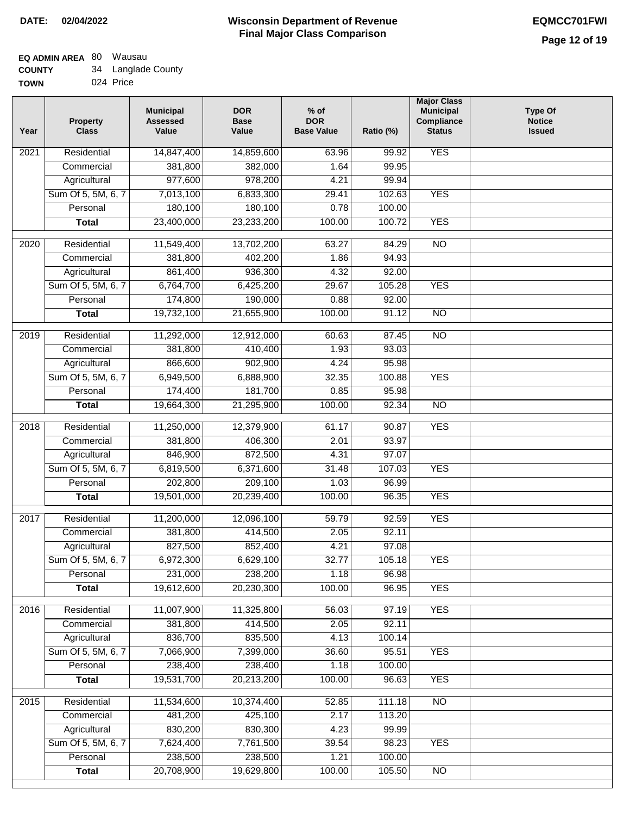# **Wisconsin Department of Revenue Final Major Class Comparison DATE: 02/04/2022 EQMCC701FWI**

#### **EQ ADMIN AREA** 80 Wausau **COUNTY** 34 Langlade County

| <b>UUUNII</b> | ◡᠇ | Langiauc Oou |
|---------------|----|--------------|
| <b>TOWN</b>   |    | 024 Price    |

| Year | <b>Property</b><br><b>Class</b> | <b>Municipal</b><br><b>Assessed</b><br>Value | <b>DOR</b><br><b>Base</b><br>Value | $%$ of<br><b>DOR</b><br><b>Base Value</b> | Ratio (%) | <b>Major Class</b><br><b>Municipal</b><br>Compliance<br><b>Status</b> | <b>Type Of</b><br><b>Notice</b><br><b>Issued</b> |
|------|---------------------------------|----------------------------------------------|------------------------------------|-------------------------------------------|-----------|-----------------------------------------------------------------------|--------------------------------------------------|
| 2021 | Residential                     | 14,847,400                                   | 14,859,600                         | 63.96                                     | 99.92     | <b>YES</b>                                                            |                                                  |
|      | Commercial                      | 381,800                                      | 382,000                            | 1.64                                      | 99.95     |                                                                       |                                                  |
|      | Agricultural                    | 977,600                                      | 978,200                            | 4.21                                      | 99.94     |                                                                       |                                                  |
|      | Sum Of 5, 5M, 6, 7              | 7,013,100                                    | 6,833,300                          | 29.41                                     | 102.63    | <b>YES</b>                                                            |                                                  |
|      | Personal                        | 180,100                                      | 180,100                            | 0.78                                      | 100.00    |                                                                       |                                                  |
|      | <b>Total</b>                    | 23,400,000                                   | 23,233,200                         | 100.00                                    | 100.72    | <b>YES</b>                                                            |                                                  |
| 2020 | Residential                     | 11,549,400                                   | 13,702,200                         | 63.27                                     | 84.29     | $\overline{NO}$                                                       |                                                  |
|      | Commercial                      | 381,800                                      | 402,200                            | 1.86                                      | 94.93     |                                                                       |                                                  |
|      | Agricultural                    | 861,400                                      | 936,300                            | 4.32                                      | 92.00     |                                                                       |                                                  |
|      | Sum Of 5, 5M, 6, 7              | 6,764,700                                    | 6,425,200                          | 29.67                                     | 105.28    | <b>YES</b>                                                            |                                                  |
|      | Personal                        | 174,800                                      | 190,000                            | 0.88                                      | 92.00     |                                                                       |                                                  |
|      | <b>Total</b>                    | 19,732,100                                   | 21,655,900                         | 100.00                                    | 91.12     | $\overline{NO}$                                                       |                                                  |
|      |                                 |                                              |                                    |                                           |           |                                                                       |                                                  |
| 2019 | Residential                     | 11,292,000                                   | 12,912,000                         | 60.63                                     | 87.45     | $\overline{NO}$                                                       |                                                  |
|      | Commercial                      | 381,800                                      | 410,400                            | 1.93                                      | 93.03     |                                                                       |                                                  |
|      | Agricultural                    | 866,600                                      | 902,900                            | 4.24                                      | 95.98     |                                                                       |                                                  |
|      | Sum Of 5, 5M, 6, 7              | 6,949,500                                    | 6,888,900                          | 32.35                                     | 100.88    | <b>YES</b>                                                            |                                                  |
|      | Personal                        | 174,400                                      | 181,700                            | 0.85                                      | 95.98     |                                                                       |                                                  |
|      | <b>Total</b>                    | 19,664,300                                   | 21,295,900                         | 100.00                                    | 92.34     | <b>NO</b>                                                             |                                                  |
| 2018 | Residential                     | 11,250,000                                   | 12,379,900                         | 61.17                                     | 90.87     | <b>YES</b>                                                            |                                                  |
|      | Commercial                      | 381,800                                      | 406,300                            | 2.01                                      | 93.97     |                                                                       |                                                  |
|      | Agricultural                    | 846,900                                      | 872,500                            | 4.31                                      | 97.07     |                                                                       |                                                  |
|      | Sum Of 5, 5M, 6, 7              | 6,819,500                                    | 6,371,600                          | 31.48                                     | 107.03    | <b>YES</b>                                                            |                                                  |
|      | Personal                        | 202,800                                      | 209,100                            | 1.03                                      | 96.99     |                                                                       |                                                  |
|      | <b>Total</b>                    | 19,501,000                                   | 20,239,400                         | 100.00                                    | 96.35     | <b>YES</b>                                                            |                                                  |
| 2017 | Residential                     | 11,200,000                                   | 12,096,100                         | 59.79                                     | 92.59     | <b>YES</b>                                                            |                                                  |
|      | Commercial                      | 381,800                                      | 414,500                            | 2.05                                      | 92.11     |                                                                       |                                                  |
|      | Agricultural                    | 827,500                                      | 852,400                            | 4.21                                      | 97.08     |                                                                       |                                                  |
|      | Sum Of 5, 5M, 6, 7              | 6,972,300                                    | 6,629,100                          | 32.77                                     | 105.18    | <b>YES</b>                                                            |                                                  |
|      | Personal                        | 231,000                                      | 238,200                            | 1.18                                      | 96.98     |                                                                       |                                                  |
|      | <b>Total</b>                    | 19,612,600                                   | 20,230,300                         | 100.00                                    | 96.95     | <b>YES</b>                                                            |                                                  |
| 2016 | Residential                     | 11,007,900                                   | 11,325,800                         | 56.03                                     | 97.19     | <b>YES</b>                                                            |                                                  |
|      | Commercial                      | 381,800                                      | 414,500                            | 2.05                                      | 92.11     |                                                                       |                                                  |
|      | Agricultural                    | 836,700                                      | 835,500                            | 4.13                                      | 100.14    |                                                                       |                                                  |
|      | Sum Of 5, 5M, 6, 7              | 7,066,900                                    | 7,399,000                          | 36.60                                     | 95.51     | <b>YES</b>                                                            |                                                  |
|      | Personal                        | 238,400                                      | 238,400                            | 1.18                                      | 100.00    |                                                                       |                                                  |
|      | <b>Total</b>                    | 19,531,700                                   | 20,213,200                         | 100.00                                    | 96.63     | <b>YES</b>                                                            |                                                  |
|      |                                 |                                              |                                    |                                           |           |                                                                       |                                                  |
| 2015 | Residential                     | 11,534,600                                   | 10,374,400                         | 52.85                                     | 111.18    | N <sub>O</sub>                                                        |                                                  |
|      | Commercial                      | 481,200                                      | 425,100                            | 2.17                                      | 113.20    |                                                                       |                                                  |
|      | Agricultural                    | 830,200                                      | 830,300                            | 4.23                                      | 99.99     |                                                                       |                                                  |
|      | Sum Of 5, 5M, 6, 7              | 7,624,400                                    | 7,761,500                          | 39.54                                     | 98.23     | <b>YES</b>                                                            |                                                  |
|      | Personal                        | 238,500                                      | 238,500                            | 1.21                                      | 100.00    |                                                                       |                                                  |
|      | <b>Total</b>                    | 20,708,900                                   | 19,629,800                         | 100.00                                    | 105.50    | $\overline{NO}$                                                       |                                                  |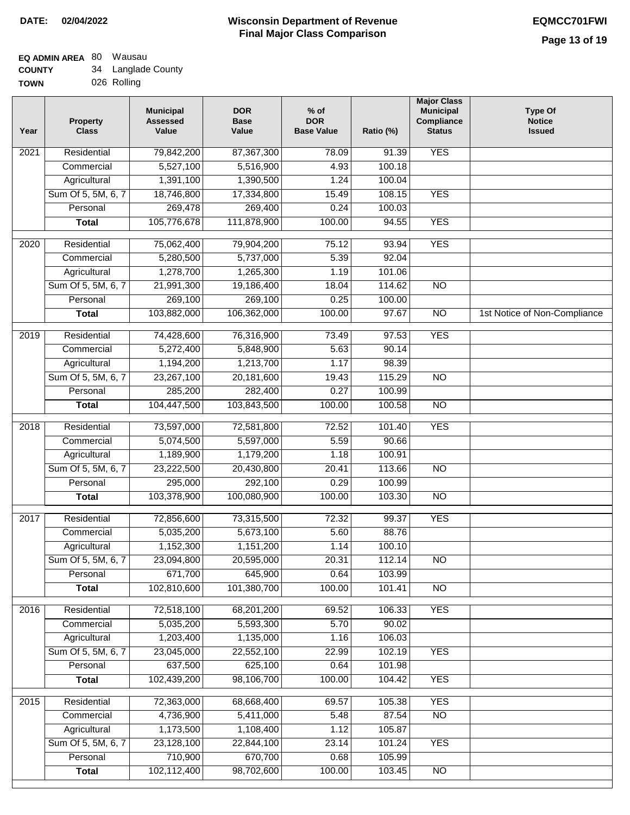| <b>TOWN</b> |  | 026 Rolling |
|-------------|--|-------------|
|-------------|--|-------------|

| Year              | <b>Property</b><br><b>Class</b>    | <b>Municipal</b><br><b>Assessed</b><br>Value | <b>DOR</b><br><b>Base</b><br>Value | % of<br><b>DOR</b><br><b>Base Value</b> | Ratio (%)       | <b>Major Class</b><br><b>Municipal</b><br>Compliance<br><b>Status</b> | <b>Type Of</b><br><b>Notice</b><br><b>Issued</b> |
|-------------------|------------------------------------|----------------------------------------------|------------------------------------|-----------------------------------------|-----------------|-----------------------------------------------------------------------|--------------------------------------------------|
| $\overline{202}1$ | Residential                        | 79,842,200                                   | 87,367,300                         | 78.09                                   | 91.39           | <b>YES</b>                                                            |                                                  |
|                   | Commercial                         | 5,527,100                                    | 5,516,900                          | 4.93                                    | 100.18          |                                                                       |                                                  |
|                   | Agricultural                       | 1,391,100                                    | 1,390,500                          | 1.24                                    | 100.04          |                                                                       |                                                  |
|                   | Sum Of 5, 5M, 6, 7                 | 18,746,800                                   | 17,334,800                         | 15.49                                   | 108.15          | <b>YES</b>                                                            |                                                  |
|                   | Personal                           | 269,478                                      | 269,400                            | 0.24                                    | 100.03          |                                                                       |                                                  |
|                   | <b>Total</b>                       | 105,776,678                                  | 111,878,900                        | 100.00                                  | 94.55           | <b>YES</b>                                                            |                                                  |
| $\overline{2020}$ | Residential                        | 75,062,400                                   | 79,904,200                         | 75.12                                   | 93.94           | <b>YES</b>                                                            |                                                  |
|                   | Commercial                         | 5,280,500                                    | 5,737,000                          | 5.39                                    | 92.04           |                                                                       |                                                  |
|                   | Agricultural                       | 1,278,700                                    | 1,265,300                          | 1.19                                    | 101.06          |                                                                       |                                                  |
|                   | Sum Of 5, 5M, 6, 7                 | 21,991,300                                   | 19,186,400                         | 18.04                                   | 114.62          | $\overline{NO}$                                                       |                                                  |
|                   | Personal                           | 269,100                                      | 269,100                            | 0.25                                    | 100.00          |                                                                       |                                                  |
|                   | <b>Total</b>                       | 103,882,000                                  | 106,362,000                        | 100.00                                  | 97.67           | $\overline{NO}$                                                       | 1st Notice of Non-Compliance                     |
|                   |                                    |                                              |                                    |                                         |                 |                                                                       |                                                  |
| $\frac{2019}{ }$  | Residential                        | 74,428,600                                   | 76,316,900                         | 73.49                                   | 97.53           | <b>YES</b>                                                            |                                                  |
|                   | Commercial                         | 5,272,400                                    | 5,848,900                          | 5.63                                    | 90.14           |                                                                       |                                                  |
|                   | Agricultural                       | 1,194,200                                    | 1,213,700                          | 1.17                                    | 98.39           |                                                                       |                                                  |
|                   | Sum Of 5, 5M, 6, 7                 | 23,267,100                                   | 20,181,600                         | 19.43                                   | 115.29          | $\overline{NO}$                                                       |                                                  |
|                   | Personal                           | 285,200                                      | 282,400                            | 0.27                                    | 100.99          |                                                                       |                                                  |
|                   | <b>Total</b>                       | 104,447,500                                  | 103,843,500                        | 100.00                                  | 100.58          | $\overline{NO}$                                                       |                                                  |
| 2018              | Residential                        | 73,597,000                                   | 72,581,800                         | 72.52                                   | 101.40          | <b>YES</b>                                                            |                                                  |
|                   | Commercial                         | 5,074,500                                    | 5,597,000                          | 5.59                                    | 90.66           |                                                                       |                                                  |
|                   | Agricultural                       | 1,189,900                                    | 1,179,200                          | 1.18                                    | 100.91          |                                                                       |                                                  |
|                   | Sum Of 5, 5M, 6, 7                 | 23,222,500                                   | 20,430,800                         | 20.41                                   | 113.66          | $\overline{3}$                                                        |                                                  |
|                   | Personal                           | 295,000                                      | 292,100                            | 0.29                                    | 100.99          |                                                                       |                                                  |
|                   | <b>Total</b>                       | 103,378,900                                  | 100,080,900                        | 100.00                                  | 103.30          | <b>NO</b>                                                             |                                                  |
| 2017              | Residential                        | 72,856,600                                   | 73,315,500                         | 72.32                                   | 99.37           | <b>YES</b>                                                            |                                                  |
|                   | Commercial                         | 5,035,200                                    | 5,673,100                          | 5.60                                    | 88.76           |                                                                       |                                                  |
|                   | Agricultural                       | 1,152,300                                    | 1,151,200                          | 1.14                                    | 100.10          |                                                                       |                                                  |
|                   | Sum Of 5, 5M, 6, 7                 | 23,094,800                                   | 20,595,000                         | 20.31                                   | 112.14          | <b>NO</b>                                                             |                                                  |
|                   | Personal                           | 671,700                                      | 645,900                            | 0.64                                    | 103.99          |                                                                       |                                                  |
|                   | <b>Total</b>                       | 102,810,600                                  | 101,380,700                        | 100.00                                  | 101.41          | <b>NO</b>                                                             |                                                  |
|                   |                                    |                                              |                                    |                                         |                 |                                                                       |                                                  |
| 2016              | Residential                        | 72,518,100                                   | 68,201,200                         | 69.52<br>5.70                           | 106.33          | <b>YES</b>                                                            |                                                  |
|                   | Commercial                         | 5,035,200<br>1,203,400                       | 5,593,300<br>1,135,000             | 1.16                                    | 90.02<br>106.03 |                                                                       |                                                  |
|                   | Agricultural<br>Sum Of 5, 5M, 6, 7 | 23,045,000                                   | 22,552,100                         | 22.99                                   | 102.19          | <b>YES</b>                                                            |                                                  |
|                   | Personal                           | 637,500                                      | 625,100                            | 0.64                                    | 101.98          |                                                                       |                                                  |
|                   | <b>Total</b>                       | 102,439,200                                  | 98,106,700                         | 100.00                                  | 104.42          | <b>YES</b>                                                            |                                                  |
|                   |                                    |                                              |                                    |                                         |                 |                                                                       |                                                  |
| 2015              | Residential                        | 72,363,000                                   | 68,668,400                         | 69.57                                   | 105.38          | <b>YES</b>                                                            |                                                  |
|                   | Commercial                         | 4,736,900                                    | 5,411,000                          | 5.48                                    | 87.54           | N <sub>O</sub>                                                        |                                                  |
|                   | Agricultural                       | 1,173,500                                    | 1,108,400                          | 1.12                                    | 105.87          |                                                                       |                                                  |
|                   | Sum Of 5, 5M, 6, 7                 | 23,128,100                                   | 22,844,100                         | 23.14                                   | 101.24          | <b>YES</b>                                                            |                                                  |
|                   | Personal                           | 710,900                                      | 670,700                            | 0.68                                    | 105.99          |                                                                       |                                                  |
|                   | <b>Total</b>                       | 102,112,400                                  | 98,702,600                         | 100.00                                  | 103.45          | N <sub>O</sub>                                                        |                                                  |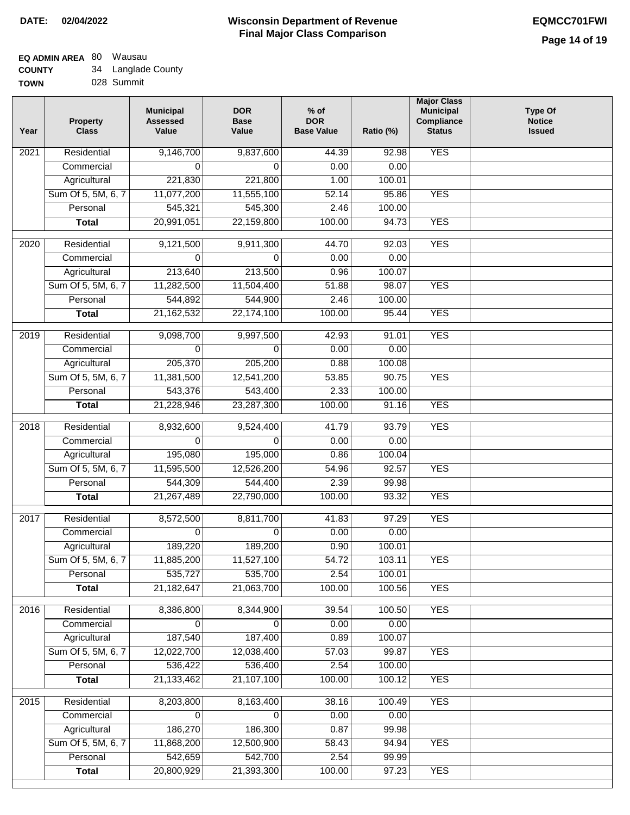# **Wisconsin Department of Revenue Final Major Class Comparison DATE: 02/04/2022 EQMCC701FWI**

# **EQ ADMIN AREA** 80 Wausau **COUNTY**

| <b>COUNTY</b> | 34 Langlade County |
|---------------|--------------------|
| <b>TOWN</b>   | 028 Summit         |

| Year              | <b>Property</b><br><b>Class</b> | <b>Municipal</b><br><b>Assessed</b><br>Value | <b>DOR</b><br><b>Base</b><br>Value | $%$ of<br><b>DOR</b><br><b>Base Value</b> | Ratio (%) | <b>Major Class</b><br><b>Municipal</b><br>Compliance<br><b>Status</b> | <b>Type Of</b><br><b>Notice</b><br><b>Issued</b> |
|-------------------|---------------------------------|----------------------------------------------|------------------------------------|-------------------------------------------|-----------|-----------------------------------------------------------------------|--------------------------------------------------|
| 2021              | Residential                     | 9,146,700                                    | 9,837,600                          | 44.39                                     | 92.98     | <b>YES</b>                                                            |                                                  |
|                   | Commercial                      | 0                                            | $\Omega$                           | 0.00                                      | 0.00      |                                                                       |                                                  |
|                   | Agricultural                    | 221,830                                      | 221,800                            | 1.00                                      | 100.01    |                                                                       |                                                  |
|                   | Sum Of 5, 5M, 6, 7              | 11,077,200                                   | 11,555,100                         | 52.14                                     | 95.86     | <b>YES</b>                                                            |                                                  |
|                   | Personal                        | 545,321                                      | 545,300                            | 2.46                                      | 100.00    |                                                                       |                                                  |
|                   | <b>Total</b>                    | 20,991,051                                   | 22,159,800                         | 100.00                                    | 94.73     | <b>YES</b>                                                            |                                                  |
| $\overline{2020}$ | Residential                     | 9,121,500                                    | 9,911,300                          | 44.70                                     | 92.03     | <b>YES</b>                                                            |                                                  |
|                   | Commercial                      | $\Omega$                                     | $\Omega$                           | 0.00                                      | 0.00      |                                                                       |                                                  |
|                   | Agricultural                    | 213,640                                      | 213,500                            | 0.96                                      | 100.07    |                                                                       |                                                  |
|                   | Sum Of 5, 5M, 6, 7              | 11,282,500                                   | 11,504,400                         | 51.88                                     | 98.07     | <b>YES</b>                                                            |                                                  |
|                   | Personal                        | 544,892                                      | 544,900                            | 2.46                                      | 100.00    |                                                                       |                                                  |
|                   | <b>Total</b>                    | 21, 162, 532                                 | 22,174,100                         | 100.00                                    | 95.44     | <b>YES</b>                                                            |                                                  |
|                   |                                 |                                              |                                    |                                           |           |                                                                       |                                                  |
| 2019              | Residential                     | 9,098,700                                    | 9,997,500                          | 42.93                                     | 91.01     | <b>YES</b>                                                            |                                                  |
|                   | Commercial                      | $\Omega$                                     | $\Omega$                           | 0.00                                      | 0.00      |                                                                       |                                                  |
|                   | Agricultural                    | 205,370                                      | 205,200                            | 0.88                                      | 100.08    |                                                                       |                                                  |
|                   | Sum Of 5, 5M, 6, 7              | 11,381,500                                   | 12,541,200                         | 53.85                                     | 90.75     | <b>YES</b>                                                            |                                                  |
|                   | Personal                        | 543,376                                      | 543,400                            | 2.33                                      | 100.00    |                                                                       |                                                  |
|                   | <b>Total</b>                    | 21,228,946                                   | 23,287,300                         | 100.00                                    | 91.16     | <b>YES</b>                                                            |                                                  |
| 2018              | Residential                     | 8,932,600                                    | 9,524,400                          | 41.79                                     | 93.79     | <b>YES</b>                                                            |                                                  |
|                   | Commercial                      | 0                                            | $\Omega$                           | 0.00                                      | 0.00      |                                                                       |                                                  |
|                   | Agricultural                    | 195,080                                      | 195,000                            | 0.86                                      | 100.04    |                                                                       |                                                  |
|                   | Sum Of 5, 5M, 6, 7              | 11,595,500                                   | 12,526,200                         | 54.96                                     | 92.57     | <b>YES</b>                                                            |                                                  |
|                   | Personal                        | 544,309                                      | 544,400                            | 2.39                                      | 99.98     |                                                                       |                                                  |
|                   | <b>Total</b>                    | 21,267,489                                   | 22,790,000                         | 100.00                                    | 93.32     | <b>YES</b>                                                            |                                                  |
| 2017              | Residential                     | 8,572,500                                    | 8,811,700                          | 41.83                                     | 97.29     | <b>YES</b>                                                            |                                                  |
|                   | Commercial                      | $\Omega$                                     | $\Omega$                           | 0.00                                      | 0.00      |                                                                       |                                                  |
|                   | Agricultural                    | 189,220                                      | 189,200                            | 0.90                                      | 100.01    |                                                                       |                                                  |
|                   | Sum Of 5, 5M, 6, 7              | 11,885,200                                   | 11,527,100                         | $\overline{54.72}$                        | 103.11    | <b>YES</b>                                                            |                                                  |
|                   | Personal                        | 535,727                                      | 535,700                            | 2.54                                      | 100.01    |                                                                       |                                                  |
|                   | <b>Total</b>                    | 21, 182, 647                                 | 21,063,700                         | 100.00                                    | 100.56    | <b>YES</b>                                                            |                                                  |
| 2016              | Residential                     | 8,386,800                                    | 8,344,900                          | 39.54                                     | 100.50    | <b>YES</b>                                                            |                                                  |
|                   | Commercial                      | 0                                            | 0                                  | 0.00                                      | 0.00      |                                                                       |                                                  |
|                   | Agricultural                    | 187,540                                      | 187,400                            | 0.89                                      | 100.07    |                                                                       |                                                  |
|                   | Sum Of 5, 5M, 6, 7              | 12,022,700                                   | 12,038,400                         | 57.03                                     | 99.87     | <b>YES</b>                                                            |                                                  |
|                   | Personal                        | 536,422                                      | 536,400                            | 2.54                                      | 100.00    |                                                                       |                                                  |
|                   | <b>Total</b>                    | 21, 133, 462                                 | 21,107,100                         | 100.00                                    | 100.12    | <b>YES</b>                                                            |                                                  |
| 2015              | Residential                     | 8,203,800                                    | 8,163,400                          | 38.16                                     | 100.49    | <b>YES</b>                                                            |                                                  |
|                   | Commercial                      | 0                                            | $\Omega$                           | 0.00                                      | 0.00      |                                                                       |                                                  |
|                   | Agricultural                    | 186,270                                      | 186,300                            | 0.87                                      | 99.98     |                                                                       |                                                  |
|                   | Sum Of 5, 5M, 6, 7              | 11,868,200                                   | 12,500,900                         | 58.43                                     | 94.94     | <b>YES</b>                                                            |                                                  |
|                   | Personal                        | 542,659                                      | 542,700                            | 2.54                                      | 99.99     |                                                                       |                                                  |
|                   | <b>Total</b>                    | 20,800,929                                   | 21,393,300                         | 100.00                                    | 97.23     | <b>YES</b>                                                            |                                                  |
|                   |                                 |                                              |                                    |                                           |           |                                                                       |                                                  |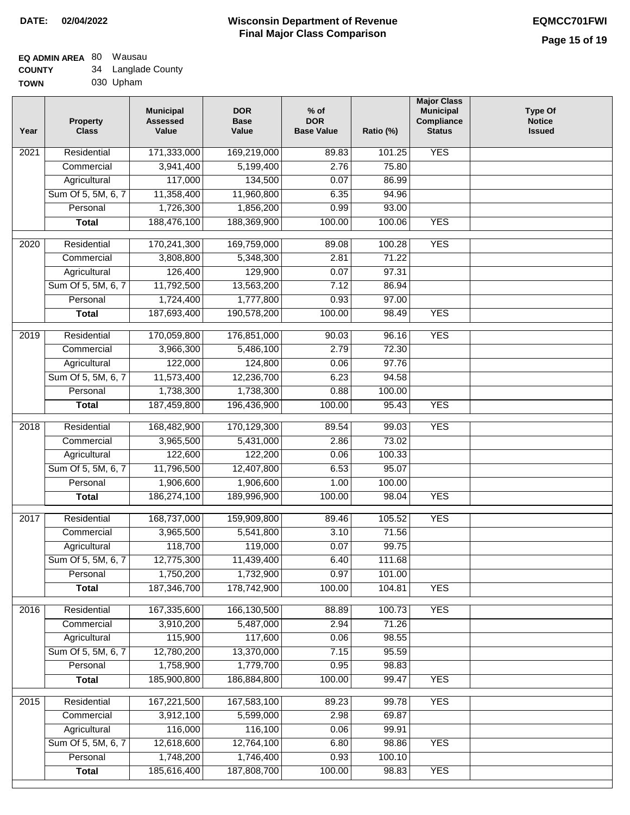# **Wisconsin Department of Revenue Final Major Class Comparison DATE: 02/04/2022 EQMCC701FWI**

# **EQ ADMIN AREA** 80 Wausau **COUNTY**

| <b>COUNTY</b> | 34 | Langlade County |
|---------------|----|-----------------|
| <b>TOWN</b>   |    | 030 Upham       |

| Year | <b>Property</b><br><b>Class</b> | <b>Municipal</b><br><b>Assessed</b><br>Value | <b>DOR</b><br><b>Base</b><br>Value | $%$ of<br><b>DOR</b><br><b>Base Value</b> | Ratio (%)       | <b>Major Class</b><br><b>Municipal</b><br>Compliance<br><b>Status</b> | <b>Type Of</b><br><b>Notice</b><br><b>Issued</b> |
|------|---------------------------------|----------------------------------------------|------------------------------------|-------------------------------------------|-----------------|-----------------------------------------------------------------------|--------------------------------------------------|
| 2021 | Residential                     | 171,333,000                                  | 169,219,000                        | 89.83                                     | 101.25          | <b>YES</b>                                                            |                                                  |
|      | Commercial                      | 3,941,400                                    | 5,199,400                          | 2.76                                      | 75.80           |                                                                       |                                                  |
|      | Agricultural                    | 117,000                                      | 134,500                            | 0.07                                      | 86.99           |                                                                       |                                                  |
|      | Sum Of 5, 5M, 6, 7              | 11,358,400                                   | 11,960,800                         | 6.35                                      | 94.96           |                                                                       |                                                  |
|      | Personal                        | 1,726,300                                    | 1,856,200                          | 0.99                                      | 93.00           |                                                                       |                                                  |
|      | <b>Total</b>                    | 188,476,100                                  | 188,369,900                        | 100.00                                    | 100.06          | <b>YES</b>                                                            |                                                  |
| 2020 | Residential                     | 170,241,300                                  | 169,759,000                        | 89.08                                     | 100.28          | <b>YES</b>                                                            |                                                  |
|      | Commercial                      | 3,808,800                                    | 5,348,300                          | 2.81                                      | 71.22           |                                                                       |                                                  |
|      | Agricultural                    | 126,400                                      | 129,900                            | 0.07                                      | 97.31           |                                                                       |                                                  |
|      | Sum Of 5, 5M, 6, 7              | 11,792,500                                   | 13,563,200                         | 7.12                                      | 86.94           |                                                                       |                                                  |
|      | Personal                        | 1,724,400                                    | 1,777,800                          | 0.93                                      | 97.00           |                                                                       |                                                  |
|      | <b>Total</b>                    | 187,693,400                                  | 190,578,200                        | 100.00                                    | 98.49           | <b>YES</b>                                                            |                                                  |
| 2019 | Residential                     | 170,059,800                                  | 176,851,000                        | 90.03                                     | 96.16           | <b>YES</b>                                                            |                                                  |
|      | Commercial                      | 3,966,300                                    | 5,486,100                          | 2.79                                      | 72.30           |                                                                       |                                                  |
|      | Agricultural                    | 122,000                                      | 124,800                            | 0.06                                      | 97.76           |                                                                       |                                                  |
|      | Sum Of 5, 5M, 6, 7              | 11,573,400                                   | 12,236,700                         | 6.23                                      | 94.58           |                                                                       |                                                  |
|      | Personal                        | 1,738,300                                    | 1,738,300                          | 0.88                                      | 100.00          |                                                                       |                                                  |
|      | <b>Total</b>                    | 187,459,800                                  | 196,436,900                        | 100.00                                    | 95.43           | <b>YES</b>                                                            |                                                  |
|      |                                 |                                              |                                    |                                           |                 |                                                                       |                                                  |
| 2018 | Residential                     | 168,482,900                                  | 170,129,300                        | 89.54                                     | 99.03           | <b>YES</b>                                                            |                                                  |
|      | Commercial                      | 3,965,500                                    | 5,431,000                          | 2.86                                      | 73.02           |                                                                       |                                                  |
|      | Agricultural                    | 122,600                                      | 122,200                            | 0.06                                      | 100.33          |                                                                       |                                                  |
|      | Sum Of 5, 5M, 6, 7              | 11,796,500                                   | 12,407,800                         | 6.53                                      | 95.07           |                                                                       |                                                  |
|      | Personal                        | 1,906,600                                    | 1,906,600                          | 1.00                                      | 100.00          |                                                                       |                                                  |
|      | <b>Total</b>                    | 186,274,100                                  | 189,996,900                        | 100.00                                    | 98.04           | <b>YES</b>                                                            |                                                  |
| 2017 | Residential                     | 168,737,000                                  | 159,909,800                        | 89.46                                     | 105.52          | <b>YES</b>                                                            |                                                  |
|      | Commercial                      | 3,965,500                                    | 5,541,800                          | 3.10                                      | 71.56           |                                                                       |                                                  |
|      | Agricultural                    | 118,700                                      | 119,000                            | 0.07                                      | 99.75           |                                                                       |                                                  |
|      | Sum Of 5, 5M, 6, 7              | 12,775,300                                   | 11,439,400                         | 6.40                                      | 111.68          |                                                                       |                                                  |
|      | Personal                        | 1,750,200                                    | 1,732,900                          | 0.97                                      | 101.00          |                                                                       |                                                  |
|      | <b>Total</b>                    | 187,346,700                                  | 178,742,900                        | 100.00                                    | 104.81          | <b>YES</b>                                                            |                                                  |
| 2016 | Residential                     | 167,335,600                                  | 166,130,500                        | 88.89                                     | 100.73          | <b>YES</b>                                                            |                                                  |
|      | Commercial                      | 3,910,200                                    | 5,487,000                          | 2.94                                      | 71.26           |                                                                       |                                                  |
|      | Agricultural                    | 115,900                                      | 117,600                            | 0.06                                      | 98.55           |                                                                       |                                                  |
|      | Sum Of 5, 5M, 6, 7              | 12,780,200                                   | 13,370,000                         | 7.15                                      | 95.59           |                                                                       |                                                  |
|      | Personal                        | 1,758,900                                    | 1,779,700                          | 0.95                                      | 98.83           |                                                                       |                                                  |
|      | <b>Total</b>                    | 185,900,800                                  | 186,884,800                        | 100.00                                    | 99.47           | <b>YES</b>                                                            |                                                  |
|      |                                 |                                              |                                    |                                           |                 |                                                                       |                                                  |
| 2015 | Residential                     | 167,221,500                                  | 167,583,100                        | 89.23                                     | 99.78           | <b>YES</b>                                                            |                                                  |
|      | Commercial                      | 3,912,100                                    | 5,599,000                          | 2.98                                      | 69.87           |                                                                       |                                                  |
|      | Agricultural                    | 116,000                                      | 116,100                            | 0.06                                      | 99.91           |                                                                       |                                                  |
|      | Sum Of 5, 5M, 6, 7<br>Personal  | 12,618,600<br>1,748,200                      | 12,764,100<br>1,746,400            | 6.80<br>0.93                              | 98.86<br>100.10 | <b>YES</b>                                                            |                                                  |
|      | <b>Total</b>                    | 185,616,400                                  | 187,808,700                        | 100.00                                    | 98.83           | <b>YES</b>                                                            |                                                  |
|      |                                 |                                              |                                    |                                           |                 |                                                                       |                                                  |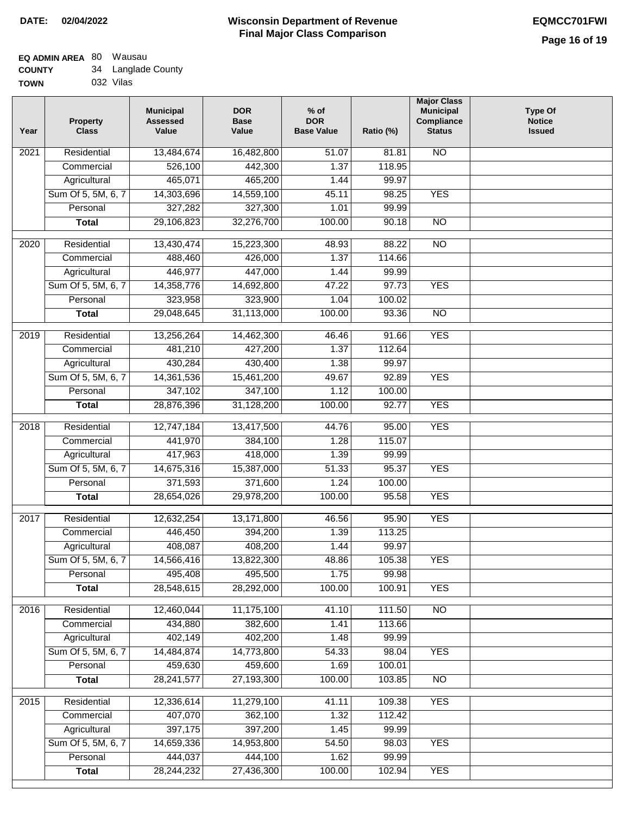| <b>TOWN</b> | 032 Vilas |
|-------------|-----------|
|             |           |

| Year              | <b>Property</b><br><b>Class</b> | <b>Municipal</b><br><b>Assessed</b><br>Value | <b>DOR</b><br><b>Base</b><br>Value | % of<br><b>DOR</b><br><b>Base Value</b> | Ratio (%) | <b>Major Class</b><br><b>Municipal</b><br>Compliance<br><b>Status</b> | <b>Type Of</b><br><b>Notice</b><br><b>Issued</b> |
|-------------------|---------------------------------|----------------------------------------------|------------------------------------|-----------------------------------------|-----------|-----------------------------------------------------------------------|--------------------------------------------------|
| $\overline{202}1$ | Residential                     | 13,484,674                                   | 16,482,800                         | 51.07                                   | 81.81     | <b>NO</b>                                                             |                                                  |
|                   | Commercial                      | 526,100                                      | 442,300                            | 1.37                                    | 118.95    |                                                                       |                                                  |
|                   | Agricultural                    | 465,071                                      | 465,200                            | 1.44                                    | 99.97     |                                                                       |                                                  |
|                   | Sum Of 5, 5M, 6, 7              | 14,303,696                                   | 14,559,100                         | 45.11                                   | 98.25     | <b>YES</b>                                                            |                                                  |
|                   | Personal                        | 327,282                                      | 327,300                            | 1.01                                    | 99.99     |                                                                       |                                                  |
|                   | <b>Total</b>                    | 29,106,823                                   | 32,276,700                         | 100.00                                  | 90.18     | $\overline{NO}$                                                       |                                                  |
| $\overline{2020}$ | Residential                     | 13,430,474                                   | 15,223,300                         | 48.93                                   | 88.22     | $\overline{NO}$                                                       |                                                  |
|                   | Commercial                      | 488,460                                      | 426,000                            | 1.37                                    | 114.66    |                                                                       |                                                  |
|                   | Agricultural                    | 446,977                                      | 447,000                            | 1.44                                    | 99.99     |                                                                       |                                                  |
|                   | Sum Of 5, 5M, 6, 7              | 14,358,776                                   | 14,692,800                         | 47.22                                   | 97.73     | <b>YES</b>                                                            |                                                  |
|                   | Personal                        | 323,958                                      | 323,900                            | 1.04                                    | 100.02    |                                                                       |                                                  |
|                   | <b>Total</b>                    | 29,048,645                                   | 31,113,000                         | 100.00                                  | 93.36     | $\overline{NO}$                                                       |                                                  |
| 2019              | Residential                     | 13,256,264                                   | 14,462,300                         | 46.46                                   | 91.66     | <b>YES</b>                                                            |                                                  |
|                   | Commercial                      | 481,210                                      | 427,200                            | 1.37                                    | 112.64    |                                                                       |                                                  |
|                   | Agricultural                    | 430,284                                      | 430,400                            | 1.38                                    | 99.97     |                                                                       |                                                  |
|                   | Sum Of 5, 5M, 6, 7              | 14,361,536                                   | 15,461,200                         | 49.67                                   | 92.89     | <b>YES</b>                                                            |                                                  |
|                   | Personal                        | 347,102                                      | 347,100                            | 1.12                                    | 100.00    |                                                                       |                                                  |
|                   | <b>Total</b>                    | 28,876,396                                   | 31,128,200                         | 100.00                                  | 92.77     | <b>YES</b>                                                            |                                                  |
| 2018              | Residential                     | 12,747,184                                   | 13,417,500                         | 44.76                                   | 95.00     | <b>YES</b>                                                            |                                                  |
|                   | Commercial                      | 441,970                                      | 384,100                            | 1.28                                    | 115.07    |                                                                       |                                                  |
|                   | Agricultural                    | 417,963                                      | 418,000                            | 1.39                                    | 99.99     |                                                                       |                                                  |
|                   | Sum Of 5, 5M, 6, 7              | 14,675,316                                   | 15,387,000                         | 51.33                                   | 95.37     | <b>YES</b>                                                            |                                                  |
|                   | Personal                        | 371,593                                      | 371,600                            | 1.24                                    | 100.00    |                                                                       |                                                  |
|                   | <b>Total</b>                    | 28,654,026                                   | 29,978,200                         | 100.00                                  | 95.58     | <b>YES</b>                                                            |                                                  |
| $\overline{2017}$ | Residential                     | 12,632,254                                   | 13,171,800                         | 46.56                                   | 95.90     | <b>YES</b>                                                            |                                                  |
|                   | Commercial                      | 446,450                                      | 394,200                            | 1.39                                    | 113.25    |                                                                       |                                                  |
|                   | Agricultural                    | 408,087                                      | 408,200                            | 1.44                                    | 99.97     |                                                                       |                                                  |
|                   | Sum Of 5, 5M, 6, 7              | 14,566,416                                   | 13,822,300                         | 48.86                                   | 105.38    | <b>YES</b>                                                            |                                                  |
|                   | Personal                        | 495,408                                      | 495,500                            | 1.75                                    | 99.98     |                                                                       |                                                  |
|                   | <b>Total</b>                    | 28,548,615                                   | 28,292,000                         | 100.00                                  | 100.91    | <b>YES</b>                                                            |                                                  |
| 2016              | Residential                     | 12,460,044                                   | 11,175,100                         | 41.10                                   | 111.50    | N <sub>O</sub>                                                        |                                                  |
|                   | Commercial                      | 434,880                                      | 382,600                            | 1.41                                    | 113.66    |                                                                       |                                                  |
|                   | Agricultural                    | 402,149                                      | 402,200                            | 1.48                                    | 99.99     |                                                                       |                                                  |
|                   | Sum Of 5, 5M, 6, 7              | 14,484,874                                   | 14,773,800                         | 54.33                                   | 98.04     | <b>YES</b>                                                            |                                                  |
|                   | Personal                        | 459,630                                      | 459,600                            | 1.69                                    | 100.01    |                                                                       |                                                  |
|                   | <b>Total</b>                    | 28,241,577                                   | 27,193,300                         | 100.00                                  | 103.85    | N <sub>O</sub>                                                        |                                                  |
| 2015              | Residential                     | 12,336,614                                   | 11,279,100                         | 41.11                                   | 109.38    | <b>YES</b>                                                            |                                                  |
|                   | Commercial                      | 407,070                                      | 362,100                            | 1.32                                    | 112.42    |                                                                       |                                                  |
|                   | Agricultural                    | 397,175                                      | 397,200                            | 1.45                                    | 99.99     |                                                                       |                                                  |
|                   | Sum Of 5, 5M, 6, 7              | 14,659,336                                   | 14,953,800                         | 54.50                                   | 98.03     | <b>YES</b>                                                            |                                                  |
|                   | Personal                        | 444,037                                      | 444,100                            | 1.62                                    | 99.99     |                                                                       |                                                  |
|                   | <b>Total</b>                    | 28,244,232                                   | 27,436,300                         | 100.00                                  | 102.94    | <b>YES</b>                                                            |                                                  |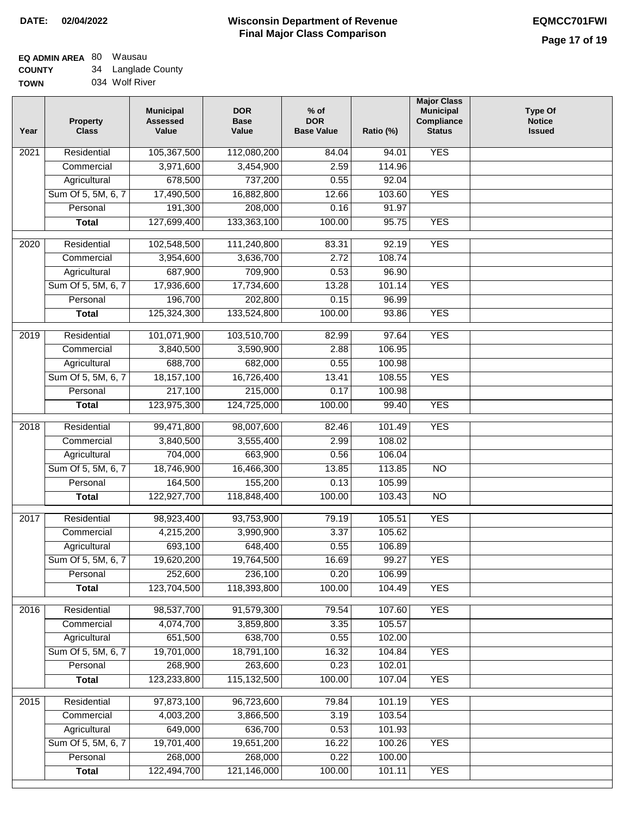#### **EQ ADMIN AREA** 80 Wausau **COUNTY** 34 Langlade County

**TOWN** 034 Wolf River

|                                                               | 84.04  |                           |
|---------------------------------------------------------------|--------|---------------------------|
| 105,367,500<br>112,080,200<br>Residential<br>2021             |        | <b>YES</b><br>94.01       |
| 3,971,600<br>Commercial<br>3,454,900                          | 2.59   | 114.96                    |
| 678,500<br>737,200<br>Agricultural                            | 0.55   | 92.04                     |
| Sum Of 5, 5M, 6, 7<br>17,490,500<br>16,882,800                | 12.66  | <b>YES</b><br>103.60      |
| 191,300<br>208,000<br>Personal                                | 0.16   | 91.97                     |
| 127,699,400<br>133,363,100<br><b>Total</b>                    | 100.00 | 95.75<br><b>YES</b>       |
| $\frac{1}{2020}$<br>Residential<br>102,548,500<br>111,240,800 | 83.31  | <b>YES</b><br>92.19       |
| Commercial<br>3,954,600<br>3,636,700                          | 2.72   | 108.74                    |
| 687,900<br>709,900<br>Agricultural                            | 0.53   | 96.90                     |
| Sum Of 5, 5M, 6, 7<br>17,936,600<br>17,734,600                | 13.28  | 101.14<br><b>YES</b>      |
| 196,700<br>202,800<br>Personal                                | 0.15   | 96.99                     |
| <b>Total</b><br>125,324,300<br>133,524,800                    | 100.00 | <b>YES</b><br>93.86       |
|                                                               |        |                           |
| 2019<br>Residential<br>101,071,900<br>103,510,700             | 82.99  | <b>YES</b><br>97.64       |
| Commercial<br>3,840,500<br>3,590,900                          | 2.88   | 106.95                    |
| 688,700<br>682,000<br>Agricultural                            | 0.55   | 100.98                    |
| Sum Of 5, 5M, 6, 7<br>18,157,100<br>16,726,400                | 13.41  | <b>YES</b><br>108.55      |
| 217,100<br>Personal<br>215,000                                | 0.17   | 100.98                    |
| 123,975,300<br>124,725,000<br><b>Total</b>                    | 100.00 | <b>YES</b><br>99.40       |
| 2018<br>Residential<br>99,471,800<br>98,007,600               | 82.46  | <b>YES</b><br>101.49      |
| Commercial<br>3,840,500<br>3,555,400                          | 2.99   | 108.02                    |
| 704,000<br>663,900<br>Agricultural                            | 0.56   | 106.04                    |
| Sum Of 5, 5M, 6, 7<br>18,746,900<br>16,466,300                | 13.85  | <b>NO</b><br>113.85       |
| 164,500<br>155,200<br>Personal                                | 0.13   | 105.99                    |
| 122,927,700<br>118,848,400<br><b>Total</b>                    | 100.00 | 103.43<br>$\overline{10}$ |
| Residential<br>98,923,400<br>93,753,900<br>2017               | 79.19  | <b>YES</b><br>105.51      |
| 4,215,200<br>3,990,900<br>Commercial                          | 3.37   | 105.62                    |
| 693,100<br>648,400<br>Agricultural                            | 0.55   | 106.89                    |
| Sum Of 5, 5M, 6, 7<br>19,620,200<br>19,764,500                | 16.69  | 99.27<br><b>YES</b>       |
| 252,600<br>Personal<br>236,100                                | 0.20   | 106.99                    |
| 123,704,500<br>118,393,800<br><b>Total</b>                    | 100.00 | 104.49<br><b>YES</b>      |
| 2016<br>Residential<br>98,537,700<br>91,579,300               | 79.54  | <b>YES</b><br>107.60      |
| Commercial<br>4,074,700<br>3,859,800                          | 3.35   | 105.57                    |
| 651,500<br>638,700<br>Agricultural                            | 0.55   | 102.00                    |
| 19,701,000<br>Sum Of 5, 5M, 6, 7<br>18,791,100                | 16.32  | 104.84<br><b>YES</b>      |
| 268,900<br>263,600<br>Personal                                | 0.23   | 102.01                    |
| 123,233,800<br>115,132,500<br><b>Total</b>                    | 100.00 | 107.04<br><b>YES</b>      |
| 2015<br>97,873,100<br>96,723,600<br>Residential               | 79.84  | 101.19<br><b>YES</b>      |
| 4,003,200<br>3,866,500<br>Commercial                          | 3.19   | 103.54                    |
| 649,000<br>Agricultural<br>636,700                            | 0.53   | 101.93                    |
| Sum Of 5, 5M, 6, 7<br>19,701,400<br>19,651,200                | 16.22  | 100.26<br><b>YES</b>      |
| Personal<br>268,000<br>268,000                                | 0.22   | 100.00                    |
| 122,494,700<br>121,146,000<br><b>Total</b>                    | 100.00 | <b>YES</b><br>101.11      |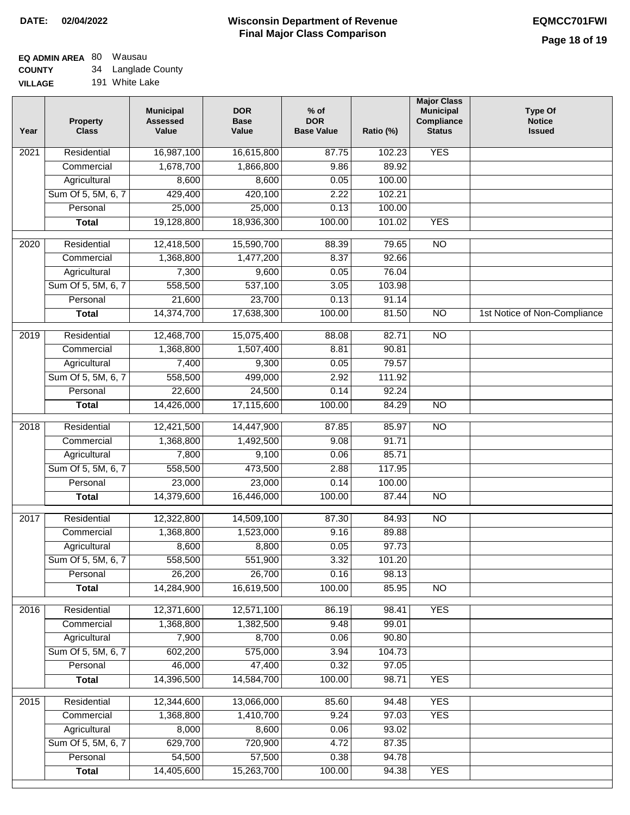#### **EQ ADMIN AREA** 80 Wausau **COUNTY** 34 Langlade County

**VILLAGE** 191 White Lake

| Year | <b>Property</b><br><b>Class</b> | <b>Municipal</b><br><b>Assessed</b><br>Value | <b>DOR</b><br><b>Base</b><br>Value | $%$ of<br><b>DOR</b><br><b>Base Value</b> | Ratio (%) | <b>Major Class</b><br><b>Municipal</b><br>Compliance<br><b>Status</b> | <b>Type Of</b><br><b>Notice</b><br><b>Issued</b> |
|------|---------------------------------|----------------------------------------------|------------------------------------|-------------------------------------------|-----------|-----------------------------------------------------------------------|--------------------------------------------------|
| 2021 | Residential                     | 16,987,100                                   | 16,615,800                         | 87.75                                     | 102.23    | <b>YES</b>                                                            |                                                  |
|      | Commercial                      | 1,678,700                                    | 1,866,800                          | 9.86                                      | 89.92     |                                                                       |                                                  |
|      | Agricultural                    | 8,600                                        | 8,600                              | 0.05                                      | 100.00    |                                                                       |                                                  |
|      | Sum Of 5, 5M, 6, 7              | 429,400                                      | 420,100                            | 2.22                                      | 102.21    |                                                                       |                                                  |
|      | Personal                        | 25,000                                       | 25,000                             | 0.13                                      | 100.00    |                                                                       |                                                  |
|      | <b>Total</b>                    | 19,128,800                                   | 18,936,300                         | 100.00                                    | 101.02    | <b>YES</b>                                                            |                                                  |
| 2020 | Residential                     | 12,418,500                                   | 15,590,700                         | 88.39                                     | 79.65     | $\overline{NO}$                                                       |                                                  |
|      | Commercial                      | 1,368,800                                    | 1,477,200                          | 8.37                                      | 92.66     |                                                                       |                                                  |
|      | Agricultural                    | 7,300                                        | 9,600                              | 0.05                                      | 76.04     |                                                                       |                                                  |
|      | Sum Of 5, 5M, 6, 7              | 558,500                                      | 537,100                            | 3.05                                      | 103.98    |                                                                       |                                                  |
|      | Personal                        | 21,600                                       | 23,700                             | 0.13                                      | 91.14     |                                                                       |                                                  |
|      | <b>Total</b>                    | 14,374,700                                   | 17,638,300                         | 100.00                                    | 81.50     | $\overline{NO}$                                                       | 1st Notice of Non-Compliance                     |
|      |                                 |                                              |                                    |                                           |           |                                                                       |                                                  |
| 2019 | Residential                     | 12,468,700                                   | 15,075,400                         | 88.08                                     | 82.71     | $\overline{3}$                                                        |                                                  |
|      | Commercial                      | 1,368,800                                    | 1,507,400                          | 8.81                                      | 90.81     |                                                                       |                                                  |
|      | Agricultural                    | 7,400                                        | 9,300                              | 0.05                                      | 79.57     |                                                                       |                                                  |
|      | Sum Of 5, 5M, 6, 7              | 558,500                                      | 499,000                            | 2.92                                      | 111.92    |                                                                       |                                                  |
|      | Personal                        | 22,600                                       | 24,500                             | 0.14                                      | 92.24     |                                                                       |                                                  |
|      | <b>Total</b>                    | 14,426,000                                   | 17,115,600                         | 100.00                                    | 84.29     | $\overline{NO}$                                                       |                                                  |
| 2018 | Residential                     | 12,421,500                                   | 14,447,900                         | 87.85                                     | 85.97     | $\overline{10}$                                                       |                                                  |
|      | Commercial                      | 1,368,800                                    | 1,492,500                          | 9.08                                      | 91.71     |                                                                       |                                                  |
|      | Agricultural                    | 7,800                                        | 9,100                              | 0.06                                      | 85.71     |                                                                       |                                                  |
|      | Sum Of 5, 5M, 6, 7              | 558,500                                      | 473,500                            | 2.88                                      | 117.95    |                                                                       |                                                  |
|      | Personal                        | 23,000                                       | 23,000                             | 0.14                                      | 100.00    |                                                                       |                                                  |
|      | <b>Total</b>                    | 14,379,600                                   | 16,446,000                         | 100.00                                    | 87.44     | <b>NO</b>                                                             |                                                  |
| 2017 | Residential                     | 12,322,800                                   | 14,509,100                         | 87.30                                     | 84.93     | <b>NO</b>                                                             |                                                  |
|      | Commercial                      | 1,368,800                                    | 1,523,000                          | 9.16                                      | 89.88     |                                                                       |                                                  |
|      | Agricultural                    | 8,600                                        | 8,800                              | 0.05                                      | 97.73     |                                                                       |                                                  |
|      | Sum Of 5, 5M, 6, 7              | 558,500                                      | 551,900                            | 3.32                                      | 101.20    |                                                                       |                                                  |
|      | Personal                        | 26,200                                       | 26,700                             | 0.16                                      | 98.13     |                                                                       |                                                  |
|      | <b>Total</b>                    | 14,284,900                                   | 16,619,500                         | 100.00                                    | 85.95     | <b>NO</b>                                                             |                                                  |
| 2016 | Residential                     | 12,371,600                                   | 12,571,100                         | 86.19                                     | 98.41     | <b>YES</b>                                                            |                                                  |
|      | Commercial                      | 1,368,800                                    | 1,382,500                          | 9.48                                      | 99.01     |                                                                       |                                                  |
|      | Agricultural                    | 7,900                                        | 8,700                              | 0.06                                      | 90.80     |                                                                       |                                                  |
|      | Sum Of 5, 5M, 6, 7              | 602,200                                      | 575,000                            | 3.94                                      | 104.73    |                                                                       |                                                  |
|      | Personal                        | 46,000                                       | 47,400                             | 0.32                                      | 97.05     |                                                                       |                                                  |
|      | <b>Total</b>                    | 14,396,500                                   | 14,584,700                         | 100.00                                    | 98.71     | <b>YES</b>                                                            |                                                  |
| 2015 | Residential                     | 12,344,600                                   | 13,066,000                         | 85.60                                     | 94.48     | <b>YES</b>                                                            |                                                  |
|      | Commercial                      | 1,368,800                                    | 1,410,700                          | 9.24                                      | 97.03     | <b>YES</b>                                                            |                                                  |
|      | Agricultural                    | 8,000                                        | 8,600                              | 0.06                                      | 93.02     |                                                                       |                                                  |
|      | Sum Of 5, 5M, 6, 7              | 629,700                                      | 720,900                            | 4.72                                      | 87.35     |                                                                       |                                                  |
|      | Personal                        | 54,500                                       | 57,500                             | 0.38                                      | 94.78     |                                                                       |                                                  |
|      | <b>Total</b>                    | 14,405,600                                   | 15,263,700                         | 100.00                                    | 94.38     | <b>YES</b>                                                            |                                                  |
|      |                                 |                                              |                                    |                                           |           |                                                                       |                                                  |